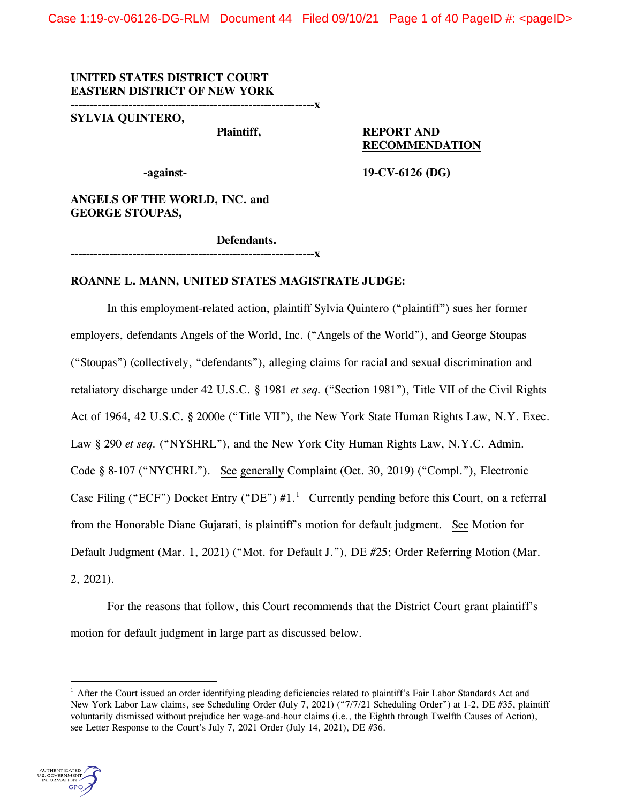Case 1:19-cv-06126-DG-RLM Document 44 Filed 09/10/21 Page 1 of 40 PageID #: <pageID>

**UNITED STATES DISTRICT COURT EASTERN DISTRICT OF NEW YORK**

**---------------------------------------------------------------x**

**---------------------------------------------------------------x**

**SYLVIA QUINTERO,**

# **Plaintiff, REPORT AND RECOMMENDATION**

**-against- 19-CV-6126 (DG)** 

**ANGELS OF THE WORLD, INC. and GEORGE STOUPAS,**

**Defendants.**

**ROANNE L. MANN, UNITED STATES MAGISTRATE JUDGE:**

In this employment-related action, plaintiff Sylvia Quintero ("plaintiff") sues her former employers, defendants Angels of the World, Inc. ("Angels of the World"), and George Stoupas ("Stoupas") (collectively, "defendants"), alleging claims for racial and sexual discrimination and retaliatory discharge under 42 U.S.C. § 1981 *et seq.* ("Section 1981"), Title VII of the Civil Rights Act of 1964, 42 U.S.C. § 2000e ("Title VII"), the New York State Human Rights Law, N.Y. Exec. Law § 290 *et seq.* ("NYSHRL"), and the New York City Human Rights Law, N.Y.C. Admin. Code § 8-107 ("NYCHRL"). See generally Complaint (Oct. 30, 2019) ("Compl."), Electronic Case Filing ("ECF") Docket Entry ("DE")  $#1.^1$  $#1.^1$  $#1.^1$  Currently pending before this Court, on a referral from the Honorable Diane Gujarati, is plaintiff's motion for default judgment. See Motion for Default Judgment (Mar. 1, 2021) ("Mot. for Default J."), DE #25; Order Referring Motion (Mar. 2, 2021).

For the reasons that follow, this Court recommends that the District Court grant plaintiff's motion for default judgment in large part as discussed below.

<span id="page-0-0"></span><sup>&</sup>lt;sup>1</sup> After the Court issued an order identifying pleading deficiencies related to plaintiff's Fair Labor Standards Act and New York Labor Law claims, see Scheduling Order (July 7, 2021) ("7/7/21 Scheduling Order") at 1-2, DE #35, plaintiff voluntarily dismissed without prejudice her wage-and-hour claims (i.e., the Eighth through Twelfth Causes of Action), see Letter Response to the Court's July 7, 2021 Order (July 14, 2021), DE #36.

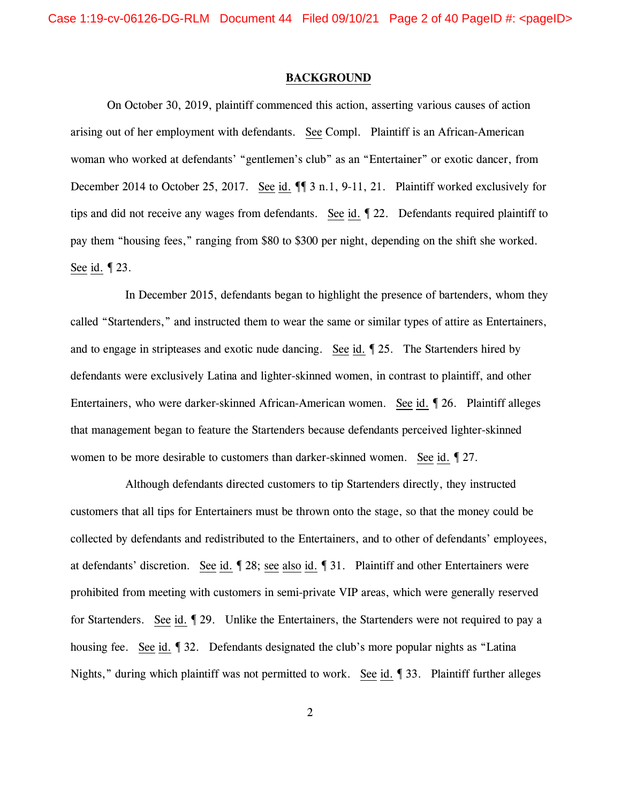Case 1:19-cv-06126-DG-RLM Document 44 Filed 09/10/21 Page 2 of 40 PageID #: <pageID>

### **BACKGROUND**

On October 30, 2019, plaintiff commenced this action, asserting various causes of action arising out of her employment with defendants. See Compl. Plaintiff is an African-American woman who worked at defendants' "gentlemen's club" as an "Entertainer" or exotic dancer, from December 2014 to October 25, 2017. See id.  $\P$  3 n.1, 9-11, 21. Plaintiff worked exclusively for tips and did not receive any wages from defendants. See id. ¶ 22. Defendants required plaintiff to pay them "housing fees," ranging from \$80 to \$300 per night, depending on the shift she worked. See id. ¶ 23.

In December 2015, defendants began to highlight the presence of bartenders, whom they called "Startenders," and instructed them to wear the same or similar types of attire as Entertainers, and to engage in stripteases and exotic nude dancing. See id. ¶ 25. The Startenders hired by defendants were exclusively Latina and lighter-skinned women, in contrast to plaintiff, and other Entertainers, who were darker-skinned African-American women. See id. ¶ 26. Plaintiff alleges that management began to feature the Startenders because defendants perceived lighter-skinned women to be more desirable to customers than darker-skinned women. See id.  $\sqrt{27}$ .

Although defendants directed customers to tip Startenders directly, they instructed customers that all tips for Entertainers must be thrown onto the stage, so that the money could be collected by defendants and redistributed to the Entertainers, and to other of defendants' employees, at defendants' discretion. See id. ¶ 28; see also id. ¶ 31. Plaintiff and other Entertainers were prohibited from meeting with customers in semi-private VIP areas, which were generally reserved for Startenders. See id. ¶ 29. Unlike the Entertainers, the Startenders were not required to pay a housing fee. See id. ¶ 32. Defendants designated the club's more popular nights as "Latina Nights," during which plaintiff was not permitted to work. See id. 1 33. Plaintiff further alleges

2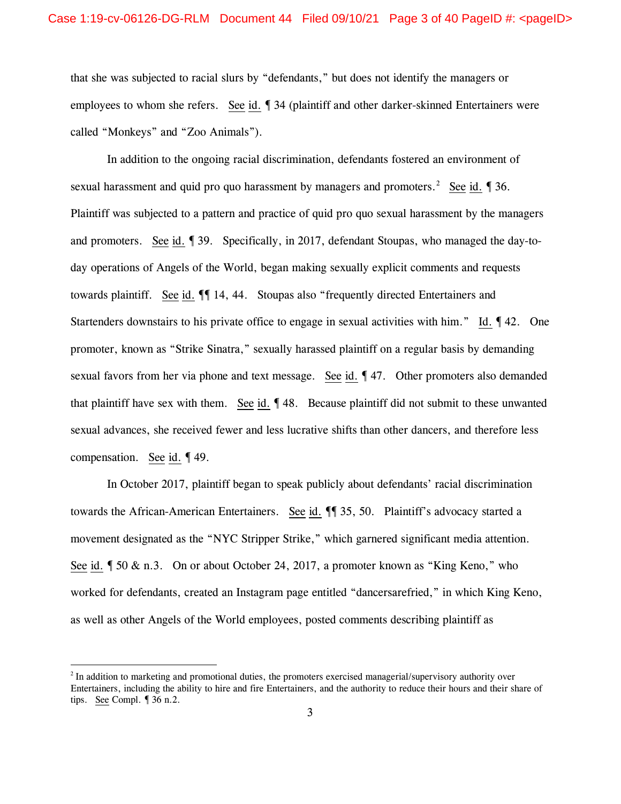that she was subjected to racial slurs by "defendants," but does not identify the managers or employees to whom she refers. See id. ¶ 34 (plaintiff and other darker-skinned Entertainers were called "Monkeys" and "Zoo Animals").

In addition to the ongoing racial discrimination, defendants fostered an environment of sexual harassment and quid pro quo harassment by managers and promoters.<sup>[2](#page-2-0)</sup> See id.  $\sqrt{ }36$ . Plaintiff was subjected to a pattern and practice of quid pro quo sexual harassment by the managers and promoters. See id. ¶ 39. Specifically, in 2017, defendant Stoupas, who managed the day-today operations of Angels of the World, began making sexually explicit comments and requests towards plaintiff. See id.  $\P$  14, 44. Stoupas also "frequently directed Entertainers and Startenders downstairs to his private office to engage in sexual activities with him." Id.  $\P$  42. One promoter, known as "Strike Sinatra," sexually harassed plaintiff on a regular basis by demanding sexual favors from her via phone and text message. See id. 147. Other promoters also demanded that plaintiff have sex with them. See id. ¶ 48. Because plaintiff did not submit to these unwanted sexual advances, she received fewer and less lucrative shifts than other dancers, and therefore less compensation. See id. ¶ 49.

In October 2017, plaintiff began to speak publicly about defendants' racial discrimination towards the African-American Entertainers. See id. ¶¶ 35, 50. Plaintiff's advocacy started a movement designated as the "NYC Stripper Strike," which garnered significant media attention. See id.  $\oint$  50 & n.3. On or about October 24, 2017, a promoter known as "King Keno," who worked for defendants, created an Instagram page entitled "dancersarefried," in which King Keno, as well as other Angels of the World employees, posted comments describing plaintiff as

<span id="page-2-0"></span> $<sup>2</sup>$  In addition to marketing and promotional duties, the promoters exercised managerial/supervisory authority over</sup> Entertainers, including the ability to hire and fire Entertainers, and the authority to reduce their hours and their share of tips. See Compl. ¶ 36 n.2.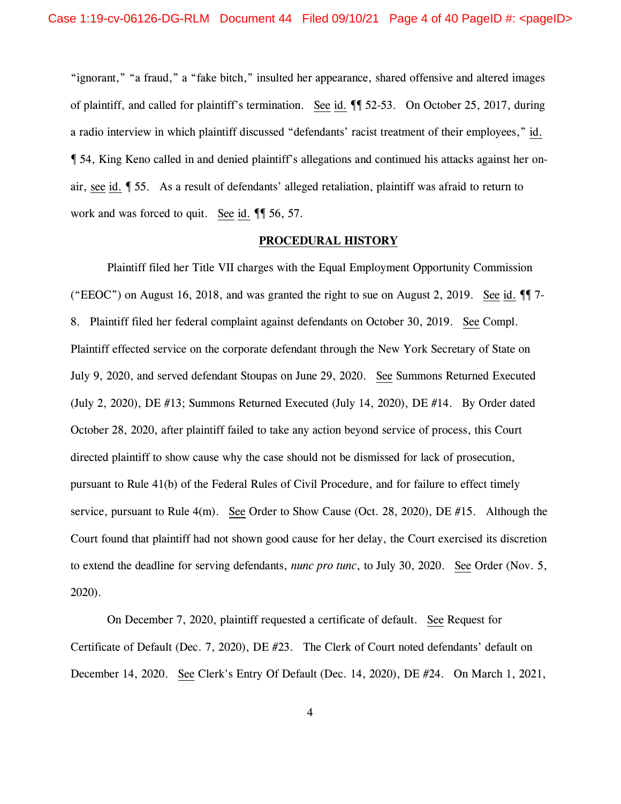"ignorant," "a fraud," a "fake bitch," insulted her appearance, shared offensive and altered images of plaintiff, and called for plaintiff's termination. See id. ¶¶ 52-53. On October 25, 2017, during a radio interview in which plaintiff discussed "defendants' racist treatment of their employees," id. ¶ 54, King Keno called in and denied plaintiff's allegations and continued his attacks against her onair, see id. ¶ 55. As a result of defendants' alleged retaliation, plaintiff was afraid to return to work and was forced to quit. See id.  $\P$  56, 57.

#### **PROCEDURAL HISTORY**

Plaintiff filed her Title VII charges with the Equal Employment Opportunity Commission ("EEOC") on August 16, 2018, and was granted the right to sue on August 2, 2019. See id.  $\P$  7-8. Plaintiff filed her federal complaint against defendants on October 30, 2019. See Compl. Plaintiff effected service on the corporate defendant through the New York Secretary of State on July 9, 2020, and served defendant Stoupas on June 29, 2020. See Summons Returned Executed (July 2, 2020), DE #13; Summons Returned Executed (July 14, 2020), DE #14. By Order dated October 28, 2020, after plaintiff failed to take any action beyond service of process, this Court directed plaintiff to show cause why the case should not be dismissed for lack of prosecution, pursuant to Rule 41(b) of the Federal Rules of Civil Procedure, and for failure to effect timely service, pursuant to Rule 4(m). See Order to Show Cause (Oct. 28, 2020), DE #15. Although the Court found that plaintiff had not shown good cause for her delay, the Court exercised its discretion to extend the deadline for serving defendants, *nunc pro tunc*, to July 30, 2020. See Order (Nov. 5, 2020).

On December 7, 2020, plaintiff requested a certificate of default. See Request for Certificate of Default (Dec. 7, 2020), DE #23. The Clerk of Court noted defendants' default on December 14, 2020. See Clerk's Entry Of Default (Dec. 14, 2020), DE #24. On March 1, 2021,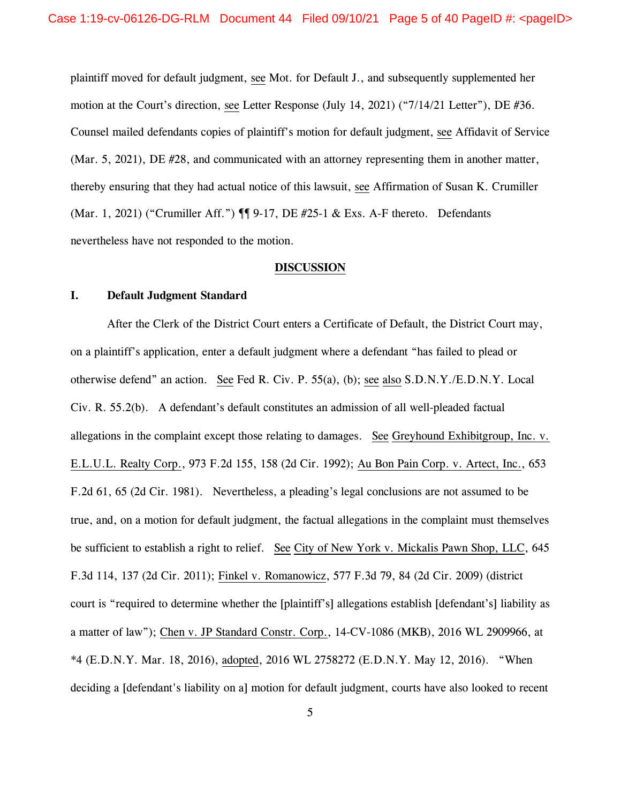plaintiff moved for default judgment, see Mot. for Default J., and subsequently supplemented her motion at the Court's direction, see Letter Response (July 14, 2021) ("7/14/21 Letter"), DE #36. Counsel mailed defendants copies of plaintiff's motion for default judgment, see Affidavit of Service (Mar. 5, 2021), DE #28, and communicated with an attorney representing them in another matter, thereby ensuring that they had actual notice of this lawsuit, see Affirmation of Susan K. Crumiller (Mar. 1, 2021) ("Crumiller Aff.") ¶¶ 9-17, DE #25-1 & Exs. A-F thereto. Defendants nevertheless have not responded to the motion.

# **DISCUSSION**

### **I. Default Judgment Standard**

After the Clerk of the District Court enters a Certificate of Default, the District Court may, on a plaintiff's application, enter a default judgment where a defendant "has failed to plead or otherwise defend" an action. See Fed R. Civ. P. 55(a), (b); see also S.D.N.Y./E.D.N.Y. Local Civ. R. 55.2(b). A defendant's default constitutes an admission of all well-pleaded factual allegations in the complaint except those relating to damages. See Greyhound Exhibitgroup, Inc. v. E.L.U.L. Realty Corp., 973 F.2d 155, 158 (2d Cir. 1992); Au Bon Pain Corp. v. Artect, Inc., 653 F.2d 61, 65 (2d Cir. 1981). Nevertheless, a pleading's legal conclusions are not assumed to be true, and, on a motion for default judgment, the factual allegations in the complaint must themselves be sufficient to establish a right to relief. See City of New York v. Mickalis Pawn Shop, LLC, 645 F.3d 114, 137 (2d Cir. 2011); Finkel v. Romanowicz, 577 F.3d 79, 84 (2d Cir. 2009) (district court is "required to determine whether the [plaintiff's] allegations establish [defendant's] liability as a matter of law"); Chen v. JP Standard Constr. Corp., 14-CV-1086 (MKB), 2016 WL 2909966, at \*4 (E.D.N.Y. Mar. 18, 2016), adopted, 2016 WL 2758272 (E.D.N.Y. May 12, 2016). "When deciding a [defendant's liability on a] motion for default judgment, courts have also looked to recent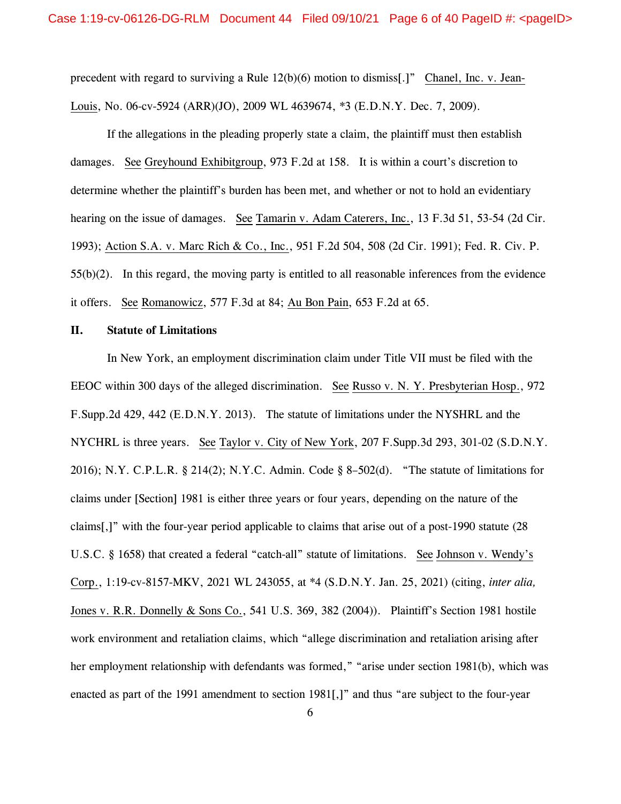precedent with regard to surviving a Rule 12(b)(6) motion to dismiss[.]" Chanel, Inc. v. Jean-Louis, No. 06-cv-5924 (ARR)(JO), 2009 WL 4639674, \*3 (E.D.N.Y. Dec. 7, 2009).

If the allegations in the pleading properly state a claim, the plaintiff must then establish damages. See Greyhound Exhibitgroup, 973 F.2d at 158. It is within a court's discretion to determine whether the plaintiff's burden has been met, and whether or not to hold an evidentiary hearing on the issue of damages. See Tamarin v. Adam Caterers, Inc., 13 F.3d 51, 53-54 (2d Cir. 1993); Action S.A. v. Marc Rich & Co., Inc., 951 F.2d 504, 508 (2d Cir. 1991); Fed. R. Civ. P. 55(b)(2). In this regard, the moving party is entitled to all reasonable inferences from the evidence it offers. See Romanowicz, 577 F.3d at 84; Au Bon Pain, 653 F.2d at 65.

# **II. Statute of Limitations**

In New York, an employment discrimination claim under Title VII must be filed with the EEOC within 300 days of the alleged discrimination. See Russo v. N. Y. Presbyterian Hosp., 972 F.Supp.2d 429, 442 (E.D.N.Y. 2013). The statute of limitations under the NYSHRL and the NYCHRL is three years. See Taylor v. City of New York, 207 F.Supp.3d 293, 301-02 (S.D.N.Y. 2016); N.Y. C.P.L.R. § 214(2); N.Y.C. Admin. Code § 8–502(d). "The statute of limitations for claims under [Section] 1981 is either three years or four years, depending on the nature of the claims[,]" with the four-year period applicable to claims that arise out of a post-1990 statute (28 U.S.C. § 1658) that created a federal "catch-all" statute of limitations. See Johnson v. Wendy's Corp., 1:19-cv-8157-MKV, 2021 WL 243055, at \*4 (S.D.N.Y. Jan. 25, 2021) (citing, *inter alia,* Jones v. R.R. Donnelly & Sons Co., 541 U.S. 369, 382 (2004)). Plaintiff's Section 1981 hostile work environment and retaliation claims, which "allege discrimination and retaliation arising after her employment relationship with defendants was formed," "arise under section 1981(b), which was enacted as part of the 1991 amendment to section 1981[,]" and thus "are subject to the four-year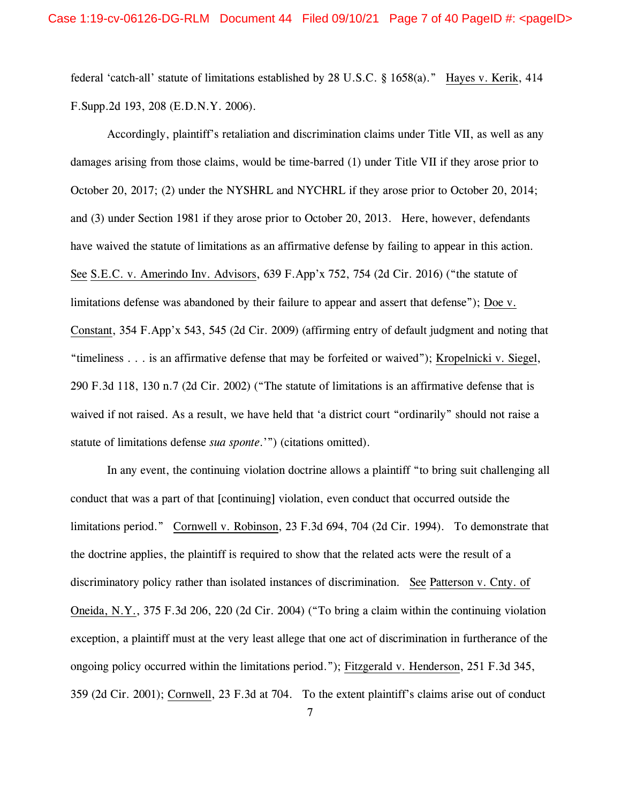federal 'catch-all' statute of limitations established by 28 U.S.C. § 1658(a)." Hayes v. Kerik, 414 F.Supp.2d 193, 208 (E.D.N.Y. 2006).

Accordingly, plaintiff's retaliation and discrimination claims under Title VII, as well as any damages arising from those claims, would be time-barred (1) under Title VII if they arose prior to October 20, 2017; (2) under the NYSHRL and NYCHRL if they arose prior to October 20, 2014; and (3) under Section 1981 if they arose prior to October 20, 2013. Here, however, defendants have waived the statute of limitations as an affirmative defense by failing to appear in this action. See S.E.C. v. Amerindo Inv. Advisors, 639 F.App'x 752, 754 (2d Cir. 2016) ("the statute of limitations defense was abandoned by their failure to appear and assert that defense"); Doe v. Constant, 354 F.App'x 543, 545 (2d Cir. 2009) (affirming entry of default judgment and noting that "timeliness . . . is an affirmative defense that may be forfeited or waived"); Kropelnicki v. Siegel, 290 F.3d 118, 130 n.7 (2d Cir. 2002) ("The statute of limitations is an affirmative defense that is waived if not raised. As a result, we have held that 'a district court "ordinarily" should not raise a statute of limitations defense *sua sponte*.'") (citations omitted).

In any event, the continuing violation doctrine allows a plaintiff "to bring suit challenging all conduct that was a part of that [continuing] violation, even conduct that occurred outside the limitations period." Cornwell v. Robinson, 23 F.3d 694, 704 (2d Cir. 1994). To demonstrate that the doctrine applies, the plaintiff is required to show that the related acts were the result of a discriminatory policy rather than isolated instances of discrimination. See Patterson v. Cnty. of Oneida, N.Y., 375 F.3d 206, 220 (2d Cir. 2004) ("To bring a claim within the continuing violation exception, a plaintiff must at the very least allege that one act of discrimination in furtherance of the ongoing policy occurred within the limitations period."); Fitzgerald v. Henderson, 251 F.3d 345, 359 (2d Cir. 2001); Cornwell, 23 F.3d at 704. To the extent plaintiff's claims arise out of conduct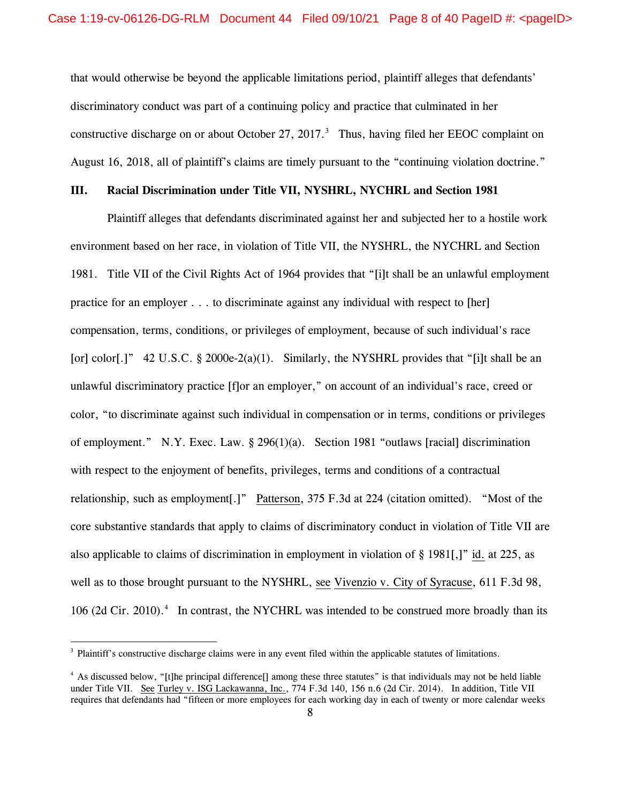that would otherwise be beyond the applicable limitations period, plaintiff alleges that defendants' discriminatory conduct was part of a continuing policy and practice that culminated in her constructive discharge on or about October 27, 2017. $3$  Thus, having filed her EEOC complaint on August 16, 2018, all of plaintiff's claims are timely pursuant to the "continuing violation doctrine."

# **III. Racial Discrimination under Title VII, NYSHRL, NYCHRL and Section 1981**

Plaintiff alleges that defendants discriminated against her and subjected her to a hostile work environment based on her race, in violation of Title VII, the NYSHRL, the NYCHRL and Section 1981. Title VII of the Civil Rights Act of 1964 provides that "[i]t shall be an unlawful employment practice for an employer . . . to discriminate against any individual with respect to [her] compensation, terms, conditions, or privileges of employment, because of such individual's race [or] color[.]" 42 U.S.C. § 2000e-2(a)(1). Similarly, the NYSHRL provides that "[i]t shall be an unlawful discriminatory practice [f]or an employer," on account of an individual's race, creed or color, "to discriminate against such individual in compensation or in terms, conditions or privileges of employment." N.Y. Exec. Law. § 296(1)(a). Section 1981 "outlaws [racial] discrimination with respect to the enjoyment of benefits, privileges, terms and conditions of a contractual relationship, such as employment[.]" Patterson, 375 F.3d at 224 (citation omitted). "Most of the core substantive standards that apply to claims of discriminatory conduct in violation of Title VII are also applicable to claims of discrimination in employment in violation of § 1981[,]" id. at 225, as well as to those brought pursuant to the NYSHRL, see Vivenzio v. City of Syracuse, 611 F.3d 98, 106 (2d Cir. 2010).<sup>[4](#page-7-1)</sup> In contrast, the NYCHRL was intended to be construed more broadly than its

<span id="page-7-0"></span><sup>&</sup>lt;sup>3</sup> Plaintiff's constructive discharge claims were in any event filed within the applicable statutes of limitations.

<span id="page-7-1"></span><sup>&</sup>lt;sup>4</sup> As discussed below, "[t]he principal difference] among these three statutes" is that individuals may not be held liable under Title VII. See Turley v. ISG Lackawanna, Inc., 774 F.3d 140, 156 n.6 (2d Cir. 2014). In addition, Title VII requires that defendants had "fifteen or more employees for each working day in each of twenty or more calendar weeks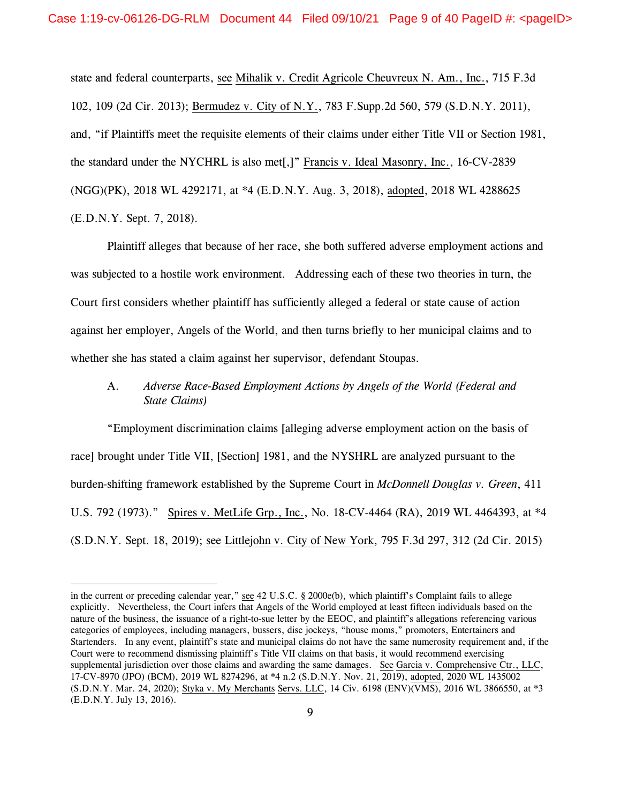state and federal counterparts, see Mihalik v. Credit Agricole Cheuvreux N. Am., Inc., 715 F.3d 102, 109 (2d Cir. 2013); Bermudez v. City of N.Y., 783 F.Supp.2d 560, 579 (S.D.N.Y. 2011), and, "if Plaintiffs meet the requisite elements of their claims under either Title VII or Section 1981, the standard under the NYCHRL is also met[,]" Francis v. Ideal Masonry, Inc., 16-CV-2839 (NGG)(PK), 2018 WL 4292171, at \*4 (E.D.N.Y. Aug. 3, 2018), adopted, 2018 WL 4288625 (E.D.N.Y. Sept. 7, 2018).

Plaintiff alleges that because of her race, she both suffered adverse employment actions and was subjected to a hostile work environment. Addressing each of these two theories in turn, the Court first considers whether plaintiff has sufficiently alleged a federal or state cause of action against her employer, Angels of the World, and then turns briefly to her municipal claims and to whether she has stated a claim against her supervisor, defendant Stoupas.

# A. *Adverse Race-Based Employment Actions by Angels of the World (Federal and State Claims)*

"Employment discrimination claims [alleging adverse employment action on the basis of race] brought under Title VII, [Section] 1981, and the NYSHRL are analyzed pursuant to the burden-shifting framework established by the Supreme Court in *McDonnell Douglas v. Green*, 411 U.S. 792 (1973)." Spires v. MetLife Grp., Inc., No. 18-CV-4464 (RA), 2019 WL 4464393, at \*4 (S.D.N.Y. Sept. 18, 2019); see Littlejohn v. City of New York, 795 F.3d 297, 312 (2d Cir. 2015)

in the current or preceding calendar year," see 42 U.S.C. § 2000e(b), which plaintiff's Complaint fails to allege explicitly. Nevertheless, the Court infers that Angels of the World employed at least fifteen individuals based on the nature of the business, the issuance of a right-to-sue letter by the EEOC, and plaintiff's allegations referencing various categories of employees, including managers, bussers, disc jockeys, "house moms," promoters, Entertainers and Startenders. In any event, plaintiff's state and municipal claims do not have the same numerosity requirement and, if the Court were to recommend dismissing plaintiff's Title VII claims on that basis, it would recommend exercising supplemental jurisdiction over those claims and awarding the same damages. See Garcia v. Comprehensive Ctr., LLC, 17-CV-8970 (JPO) (BCM), 2019 WL 8274296, at \*4 n.2 (S.D.N.Y. Nov. 21, 2019), adopted, 2020 WL 1435002 (S.D.N.Y. Mar. 24, 2020); Styka v. My Merchants Servs. LLC, 14 Civ. 6198 (ENV)(VMS), 2016 WL 3866550, at \*3 (E.D.N.Y. July 13, 2016).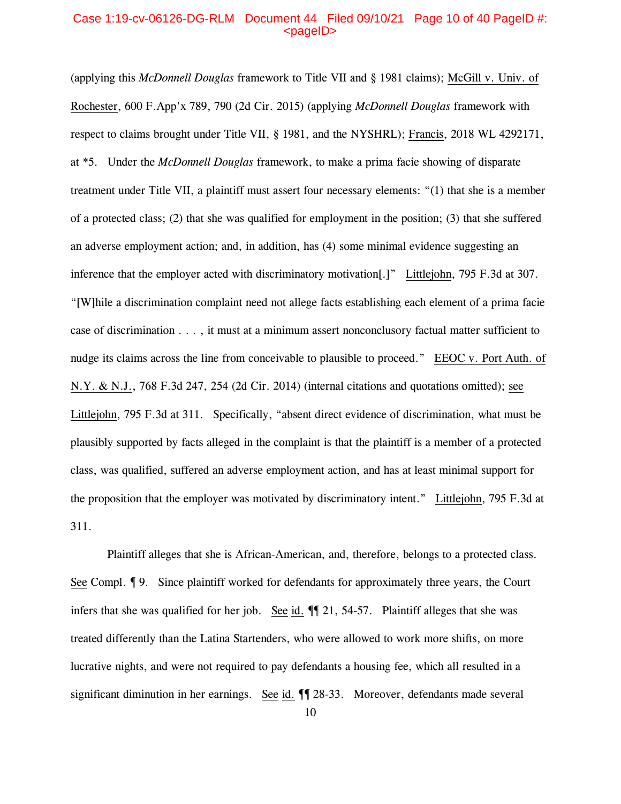# Case 1:19-cv-06126-DG-RLM Document 44 Filed 09/10/21 Page 10 of 40 PageID #:  $<sub>pa</sub>$  $<sub>o</sub>$ </sub></sub>

(applying this *McDonnell Douglas* framework to Title VII and § 1981 claims); McGill v. Univ. of Rochester, 600 F.App'x 789, 790 (2d Cir. 2015) (applying *McDonnell Douglas* framework with respect to claims brought under Title VII, § 1981, and the NYSHRL); Francis, 2018 WL 4292171, at \*5. Under the *McDonnell Douglas* framework, to make a prima facie showing of disparate treatment under Title VII, a plaintiff must assert four necessary elements: "(1) that she is a member of a protected class; (2) that she was qualified for employment in the position; (3) that she suffered an adverse employment action; and, in addition, has (4) some minimal evidence suggesting an inference that the employer acted with discriminatory motivation[.]" Littlejohn, 795 F.3d at 307. "[W]hile a discrimination complaint need not allege facts establishing each element of a prima facie case of discrimination . . . , it must at a minimum assert nonconclusory factual matter sufficient to nudge its claims across the line from conceivable to plausible to proceed." EEOC v. Port Auth. of N.Y. & N.J., 768 F.3d 247, 254 (2d Cir. 2014) (internal citations and quotations omitted); see Littlejohn, 795 F.3d at 311. Specifically, "absent direct evidence of discrimination, what must be plausibly supported by facts alleged in the complaint is that the plaintiff is a member of a protected class, was qualified, suffered an adverse employment action, and has at least minimal support for the proposition that the employer was motivated by discriminatory intent." Littlejohn, 795 F.3d at 311.

Plaintiff alleges that she is African-American, and, therefore, belongs to a protected class. See Compl. ¶ 9. Since plaintiff worked for defendants for approximately three years, the Court infers that she was qualified for her job. See id.  $\P$  21, 54-57. Plaintiff alleges that she was treated differently than the Latina Startenders, who were allowed to work more shifts, on more lucrative nights, and were not required to pay defendants a housing fee, which all resulted in a significant diminution in her earnings. See id.  $\P$  28-33. Moreover, defendants made several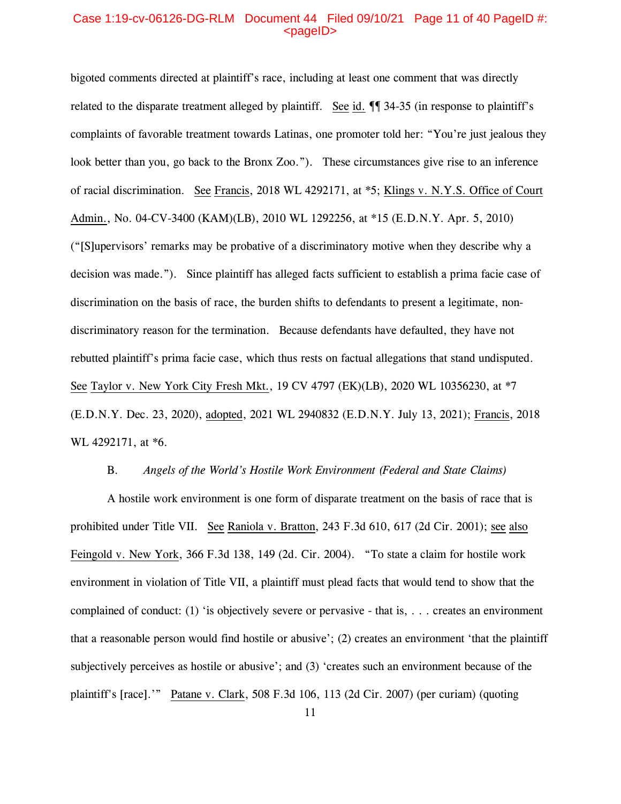# Case 1:19-cv-06126-DG-RLM Document 44 Filed 09/10/21 Page 11 of 40 PageID #:  $<sub>pa</sub>$ gelD $>$ </sub>

bigoted comments directed at plaintiff's race, including at least one comment that was directly related to the disparate treatment alleged by plaintiff. See id.  $\P$  34-35 (in response to plaintiff's complaints of favorable treatment towards Latinas, one promoter told her: "You're just jealous they look better than you, go back to the Bronx Zoo."). These circumstances give rise to an inference of racial discrimination. See Francis, 2018 WL 4292171, at \*5; Klings v. N.Y.S. Office of Court Admin., No. 04-CV-3400 (KAM)(LB), 2010 WL 1292256, at \*15 (E.D.N.Y. Apr. 5, 2010) ("[S]upervisors' remarks may be probative of a discriminatory motive when they describe why a decision was made."). Since plaintiff has alleged facts sufficient to establish a prima facie case of discrimination on the basis of race, the burden shifts to defendants to present a legitimate, nondiscriminatory reason for the termination. Because defendants have defaulted, they have not rebutted plaintiff's prima facie case, which thus rests on factual allegations that stand undisputed. See Taylor v. New York City Fresh Mkt., 19 CV 4797 (EK)(LB), 2020 WL 10356230, at \*7 (E.D.N.Y. Dec. 23, 2020), adopted, 2021 WL 2940832 (E.D.N.Y. July 13, 2021); Francis, 2018 WL 4292171, at  $*6$ .

### B. *Angels of the World's Hostile Work Environment (Federal and State Claims)*

A hostile work environment is one form of disparate treatment on the basis of race that is prohibited under Title VII. See Raniola v. Bratton, 243 F.3d 610, 617 (2d Cir. 2001); see also Feingold v. New York, 366 F.3d 138, 149 (2d. Cir. 2004). "To state a claim for hostile work environment in violation of Title VII, a plaintiff must plead facts that would tend to show that the complained of conduct: (1) 'is objectively severe or pervasive - that is, . . . creates an environment that a reasonable person would find hostile or abusive'; (2) creates an environment 'that the plaintiff subjectively perceives as hostile or abusive'; and (3) 'creates such an environment because of the plaintiff's [race].'" Patane v. Clark, 508 F.3d 106, 113 (2d Cir. 2007) (per curiam) (quoting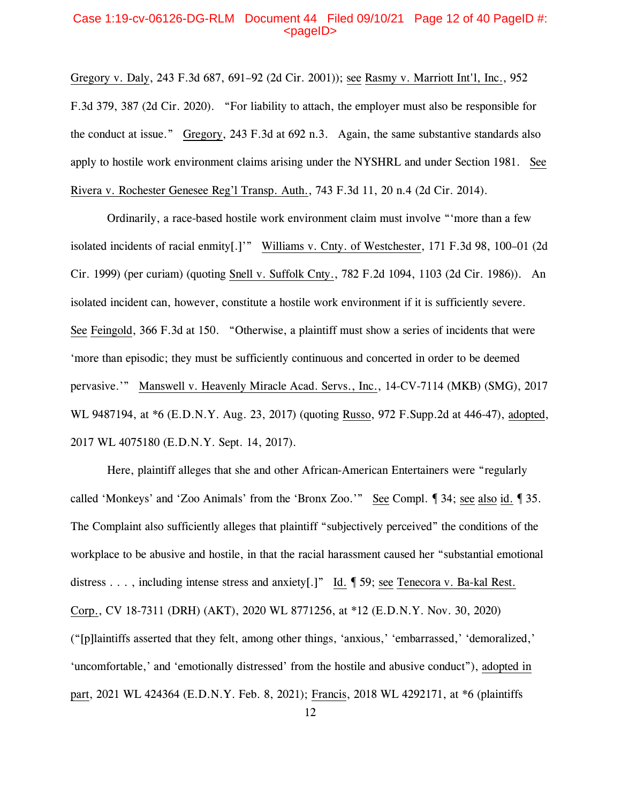# Case 1:19-cv-06126-DG-RLM Document 44 Filed 09/10/21 Page 12 of 40 PageID #:  $<sub>pa</sub>$ gelD $>$ </sub>

Gregory v. Daly, 243 F.3d 687, 691–92 (2d Cir. 2001)); see Rasmy v. Marriott Int'l, Inc., 952 F.3d 379, 387 (2d Cir. 2020). "For liability to attach, the employer must also be responsible for the conduct at issue." Gregory, 243 F.3d at 692 n.3. Again, the same substantive standards also apply to hostile work environment claims arising under the NYSHRL and under Section 1981. See Rivera v. Rochester Genesee Reg'l Transp. Auth., 743 F.3d 11, 20 n.4 (2d Cir. 2014).

Ordinarily, a race-based hostile work environment claim must involve "'more than a few isolated incidents of racial enmity[.]'" Williams v. Cnty. of Westchester, 171 F.3d 98, 100–01 (2d Cir. 1999) (per curiam) (quoting Snell v. Suffolk Cnty., 782 F.2d 1094, 1103 (2d Cir. 1986)). An isolated incident can, however, constitute a hostile work environment if it is sufficiently severe. See Feingold, 366 F.3d at 150. "Otherwise, a plaintiff must show a series of incidents that were 'more than episodic; they must be sufficiently continuous and concerted in order to be deemed pervasive.'" Manswell v. Heavenly Miracle Acad. Servs., Inc., 14-CV-7114 (MKB) (SMG), 2017 WL 9487194, at \*6 (E.D.N.Y. Aug. 23, 2017) (quoting Russo, 972 F.Supp.2d at 446-47), adopted, 2017 WL 4075180 (E.D.N.Y. Sept. 14, 2017).

Here, plaintiff alleges that she and other African-American Entertainers were "regularly called 'Monkeys' and 'Zoo Animals' from the 'Bronx Zoo.'" See Compl. ¶ 34; see also id. ¶ 35. The Complaint also sufficiently alleges that plaintiff "subjectively perceived" the conditions of the workplace to be abusive and hostile, in that the racial harassment caused her "substantial emotional distress . . . , including intense stress and anxiety[.]" Id. ¶ 59; see Tenecora v. Ba-kal Rest. Corp., CV 18-7311 (DRH) (AKT), 2020 WL 8771256, at \*12 (E.D.N.Y. Nov. 30, 2020) ("[p]laintiffs asserted that they felt, among other things, 'anxious,' 'embarrassed,' 'demoralized,' 'uncomfortable,' and 'emotionally distressed' from the hostile and abusive conduct"), adopted in part, 2021 WL 424364 (E.D.N.Y. Feb. 8, 2021); Francis, 2018 WL 4292171, at \*6 (plaintiffs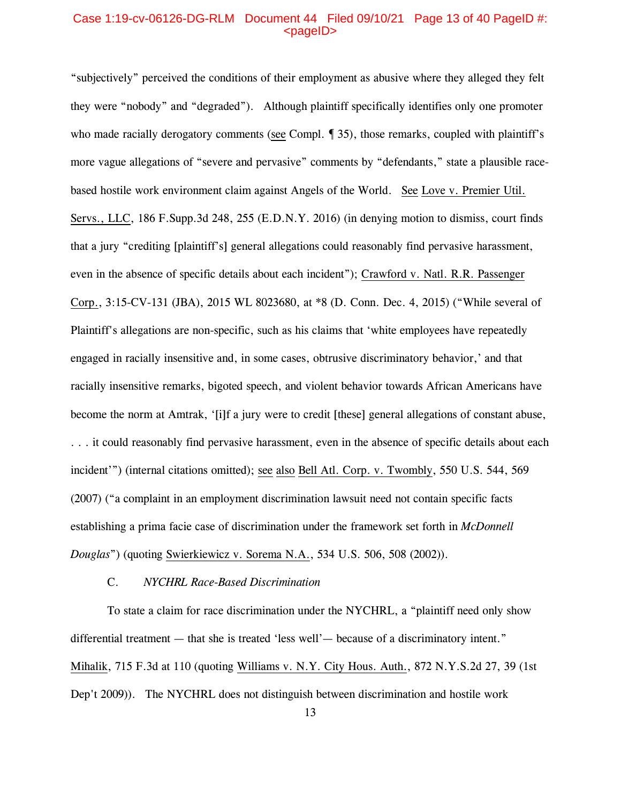# Case 1:19-cv-06126-DG-RLM Document 44 Filed 09/10/21 Page 13 of 40 PageID #:  $<sub>pa</sub>$  $<sub>o</sub>$ </sub></sub>

"subjectively" perceived the conditions of their employment as abusive where they alleged they felt they were "nobody" and "degraded"). Although plaintiff specifically identifies only one promoter who made racially derogatory comments (see Compl. 1 35), those remarks, coupled with plaintiff's more vague allegations of "severe and pervasive" comments by "defendants," state a plausible racebased hostile work environment claim against Angels of the World. See Love v. Premier Util. Servs., LLC, 186 F.Supp.3d 248, 255 (E.D.N.Y. 2016) (in denying motion to dismiss, court finds that a jury "crediting [plaintiff's] general allegations could reasonably find pervasive harassment, even in the absence of specific details about each incident"); Crawford v. Natl. R.R. Passenger Corp., 3:15-CV-131 (JBA), 2015 WL 8023680, at \*8 (D. Conn. Dec. 4, 2015) ("While several of Plaintiff's allegations are non-specific, such as his claims that 'white employees have repeatedly engaged in racially insensitive and, in some cases, obtrusive discriminatory behavior,' and that racially insensitive remarks, bigoted speech, and violent behavior towards African Americans have become the norm at Amtrak, '[i]f a jury were to credit [these] general allegations of constant abuse, . . . it could reasonably find pervasive harassment, even in the absence of specific details about each incident'") (internal citations omitted); see also Bell Atl. Corp. v. Twombly, 550 U.S. 544, 569 (2007) ("a complaint in an employment discrimination lawsuit need not contain specific facts establishing a prima facie case of discrimination under the framework set forth in *McDonnell Douglas*") (quoting Swierkiewicz v. Sorema N.A., 534 U.S. 506, 508 (2002)).

### C. *NYCHRL Race-Based Discrimination*

To state a claim for race discrimination under the NYCHRL, a "plaintiff need only show differential treatment — that she is treated 'less well'— because of a discriminatory intent." Mihalik, 715 F.3d at 110 (quoting Williams v. N.Y. City Hous. Auth., 872 N.Y.S.2d 27, 39 (1st Dep't 2009)). The NYCHRL does not distinguish between discrimination and hostile work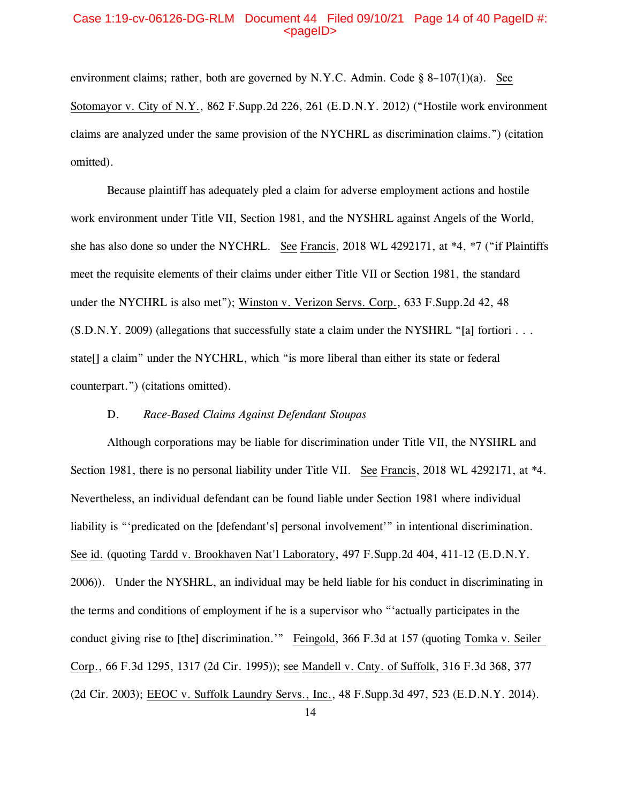### Case 1:19-cv-06126-DG-RLM Document 44 Filed 09/10/21 Page 14 of 40 PageID #:  $<sub>pa</sub>$  $<sub>o</sub>$ </sub></sub>

environment claims; rather, both are governed by N.Y.C. Admin. Code  $\S$  8–107(1)(a). See Sotomayor v. City of N.Y., 862 F.Supp.2d 226, 261 (E.D.N.Y. 2012) ("Hostile work environment claims are analyzed under the same provision of the NYCHRL as discrimination claims.") (citation omitted).

Because plaintiff has adequately pled a claim for adverse employment actions and hostile work environment under Title VII, Section 1981, and the NYSHRL against Angels of the World, she has also done so under the NYCHRL. See Francis, 2018 WL 4292171, at \*4, \*7 ("if Plaintiffs meet the requisite elements of their claims under either Title VII or Section 1981, the standard under the NYCHRL is also met"); Winston v. Verizon Servs. Corp., 633 F.Supp.2d 42, 48 (S.D.N.Y. 2009) (allegations that successfully state a claim under the NYSHRL "[a] fortiori . . . state[] a claim" under the NYCHRL, which "is more liberal than either its state or federal counterpart.") (citations omitted).

# D. *Race-Based Claims Against Defendant Stoupas*

Although corporations may be liable for discrimination under Title VII, the NYSHRL and Section 1981, there is no personal liability under Title VII. See Francis, 2018 WL 4292171, at \*4. Nevertheless, an individual defendant can be found liable under Section 1981 where individual liability is "'predicated on the [defendant's] personal involvement'" in intentional discrimination. See id. (quoting Tardd v. Brookhaven Nat'l Laboratory, 497 F.Supp.2d 404, 411-12 (E.D.N.Y. 2006)). Under the NYSHRL, an individual may be held liable for his conduct in discriminating in the terms and conditions of employment if he is a supervisor who "'actually participates in the conduct giving rise to [the] discrimination.'" Feingold, 366 F.3d at 157 (quoting Tomka v. Seiler Corp., 66 F.3d 1295, 1317 (2d Cir. 1995)); see Mandell v. Cnty. of Suffolk, 316 F.3d 368, 377 (2d Cir. 2003); EEOC v. Suffolk Laundry Servs., Inc., 48 F.Supp.3d 497, 523 (E.D.N.Y. 2014).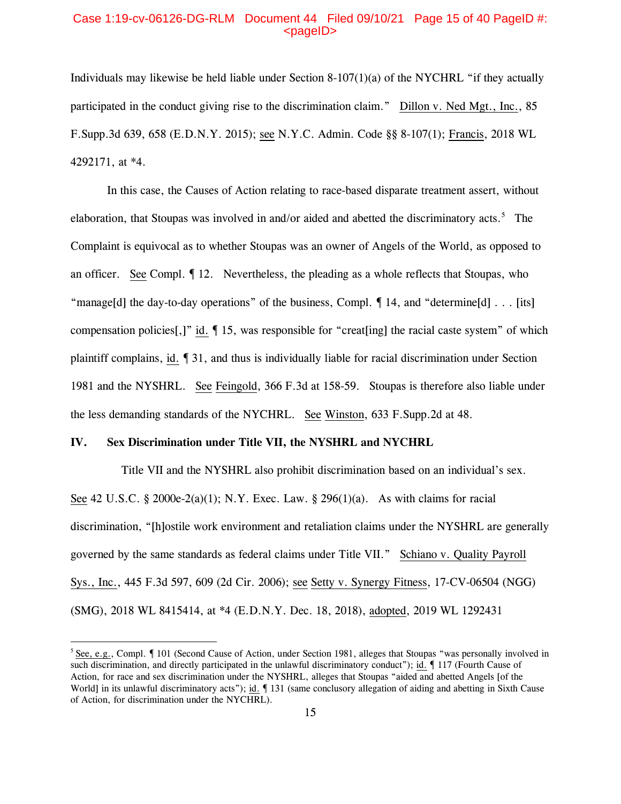### Case 1:19-cv-06126-DG-RLM Document 44 Filed 09/10/21 Page 15 of 40 PageID #:  $<sub>pa</sub>$  $<sub>o</sub>$ </sub></sub>

Individuals may likewise be held liable under Section 8-107(1)(a) of the NYCHRL "if they actually participated in the conduct giving rise to the discrimination claim." Dillon v. Ned Mgt., Inc., 85 F.Supp.3d 639, 658 (E.D.N.Y. 2015); see N.Y.C. Admin. Code §§ 8-107(1); Francis, 2018 WL 4292171, at \*4.

In this case, the Causes of Action relating to race-based disparate treatment assert, without elaboration, that Stoupas was involved in and/or aided and abetted the discriminatory acts. [5](#page-14-0) The Complaint is equivocal as to whether Stoupas was an owner of Angels of the World, as opposed to an officer. See Compl. ¶ 12. Nevertheless, the pleading as a whole reflects that Stoupas, who "manage[d] the day-to-day operations" of the business, Compl. ¶ 14, and "determine[d] . . . [its] compensation policies[,]" id. ¶ 15, was responsible for "creat[ing] the racial caste system" of which plaintiff complains, id. ¶ 31, and thus is individually liable for racial discrimination under Section 1981 and the NYSHRL. See Feingold, 366 F.3d at 158-59. Stoupas is therefore also liable under the less demanding standards of the NYCHRL. See Winston, 633 F.Supp.2d at 48.

### **IV. Sex Discrimination under Title VII, the NYSHRL and NYCHRL**

 Title VII and the NYSHRL also prohibit discrimination based on an individual's sex. See 42 U.S.C. § 2000e-2(a)(1); N.Y. Exec. Law. § 296(1)(a). As with claims for racial discrimination, "[h]ostile work environment and retaliation claims under the NYSHRL are generally governed by the same standards as federal claims under Title VII." Schiano v. Quality Payroll Sys., Inc., 445 F.3d 597, 609 (2d Cir. 2006); see Setty v. Synergy Fitness, 17-CV-06504 (NGG) (SMG), 2018 WL 8415414, at \*4 (E.D.N.Y. Dec. 18, 2018), adopted, 2019 WL 1292431

<span id="page-14-0"></span><sup>&</sup>lt;sup>5</sup> See, e.g., Compl.  $\P$  101 (Second Cause of Action, under Section 1981, alleges that Stoupas "was personally involved in such discrimination, and directly participated in the unlawful discriminatory conduct"); id.  $\parallel$  117 (Fourth Cause of Action, for race and sex discrimination under the NYSHRL, alleges that Stoupas "aided and abetted Angels [of the World] in its unlawful discriminatory acts"); id.  $\P$  131 (same conclusory allegation of aiding and abetting in Sixth Cause of Action, for discrimination under the NYCHRL).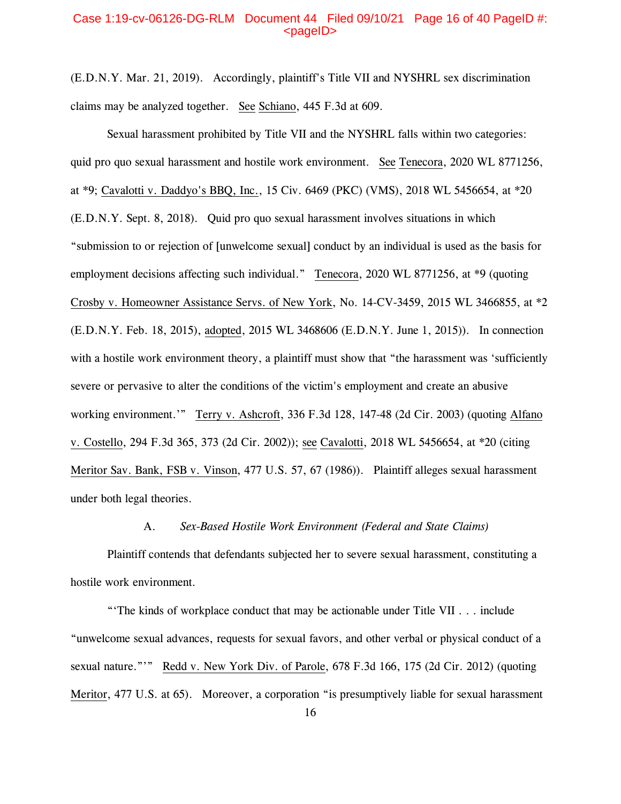### Case 1:19-cv-06126-DG-RLM Document 44 Filed 09/10/21 Page 16 of 40 PageID #:  $<sub>pa</sub>$ gelD $>$ </sub>

(E.D.N.Y. Mar. 21, 2019). Accordingly, plaintiff's Title VII and NYSHRL sex discrimination claims may be analyzed together. See Schiano, 445 F.3d at 609.

Sexual harassment prohibited by Title VII and the NYSHRL falls within two categories: quid pro quo sexual harassment and hostile work environment. See Tenecora, 2020 WL 8771256, at \*9; Cavalotti v. Daddyo's BBQ, Inc., 15 Civ. 6469 (PKC) (VMS), 2018 WL 5456654, at \*20 (E.D.N.Y. Sept. 8, 2018). Quid pro quo sexual harassment involves situations in which "submission to or rejection of [unwelcome sexual] conduct by an individual is used as the basis for employment decisions affecting such individual." Tenecora, 2020 WL 8771256, at \*9 (quoting Crosby v. Homeowner Assistance Servs. of New York, No. 14-CV-3459, 2015 WL 3466855, at \*2 (E.D.N.Y. Feb. 18, 2015), adopted, 2015 WL 3468606 (E.D.N.Y. June 1, 2015)). In connection with a hostile work environment theory, a plaintiff must show that "the harassment was 'sufficiently severe or pervasive to alter the conditions of the victim's employment and create an abusive working environment.'" Terry v. Ashcroft, 336 F.3d 128, 147-48 (2d Cir. 2003) (quoting Alfano v. Costello, 294 F.3d 365, 373 (2d Cir. 2002)); see Cavalotti, 2018 WL 5456654, at \*20 (citing Meritor Sav. Bank, FSB v. Vinson, 477 U.S. 57, 67 (1986)). Plaintiff alleges sexual harassment under both legal theories.

# A. *Sex-Based Hostile Work Environment (Federal and State Claims)*

Plaintiff contends that defendants subjected her to severe sexual harassment, constituting a hostile work environment.

"'The kinds of workplace conduct that may be actionable under Title VII . . . include "unwelcome sexual advances, requests for sexual favors, and other verbal or physical conduct of a sexual nature."'" Redd v. New York Div. of Parole, 678 F.3d 166, 175 (2d Cir. 2012) (quoting Meritor, 477 U.S. at 65). Moreover, a corporation "is presumptively liable for sexual harassment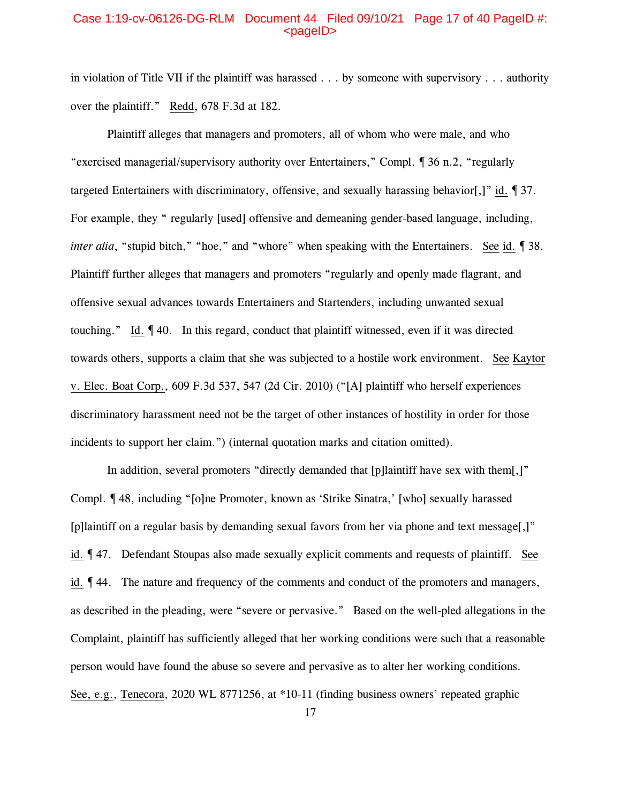# Case 1:19-cv-06126-DG-RLM Document 44 Filed 09/10/21 Page 17 of 40 PageID #:  $<sub>pa</sub>$  $<sub>o</sub>$ </sub></sub>

in violation of Title VII if the plaintiff was harassed . . . by someone with supervisory . . . authority over the plaintiff." Redd, 678 F.3d at 182.

Plaintiff alleges that managers and promoters, all of whom who were male, and who "exercised managerial/supervisory authority over Entertainers," Compl. ¶ 36 n.2, "regularly targeted Entertainers with discriminatory, offensive, and sexually harassing behavior[,]" id. ¶ 37. For example, they " regularly [used] offensive and demeaning gender-based language, including, *inter alia*, "stupid bitch," "hoe," and "whore" when speaking with the Entertainers. See id. 138. Plaintiff further alleges that managers and promoters "regularly and openly made flagrant, and offensive sexual advances towards Entertainers and Startenders, including unwanted sexual touching." Id. ¶ 40. In this regard, conduct that plaintiff witnessed, even if it was directed towards others, supports a claim that she was subjected to a hostile work environment. See Kaytor v. Elec. Boat Corp., 609 F.3d 537, 547 (2d Cir. 2010) ("[A] plaintiff who herself experiences discriminatory harassment need not be the target of other instances of hostility in order for those incidents to support her claim.") (internal quotation marks and citation omitted).

In addition, several promoters "directly demanded that [p]laintiff have sex with them[,]" Compl. ¶ 48, including "[o]ne Promoter, known as 'Strike Sinatra,' [who] sexually harassed [p]laintiff on a regular basis by demanding sexual favors from her via phone and text message[,]" id. ¶ 47. Defendant Stoupas also made sexually explicit comments and requests of plaintiff. See id. ¶ 44. The nature and frequency of the comments and conduct of the promoters and managers, as described in the pleading, were "severe or pervasive." Based on the well-pled allegations in the Complaint, plaintiff has sufficiently alleged that her working conditions were such that a reasonable person would have found the abuse so severe and pervasive as to alter her working conditions. See, e.g., Tenecora, 2020 WL 8771256, at \*10-11 (finding business owners' repeated graphic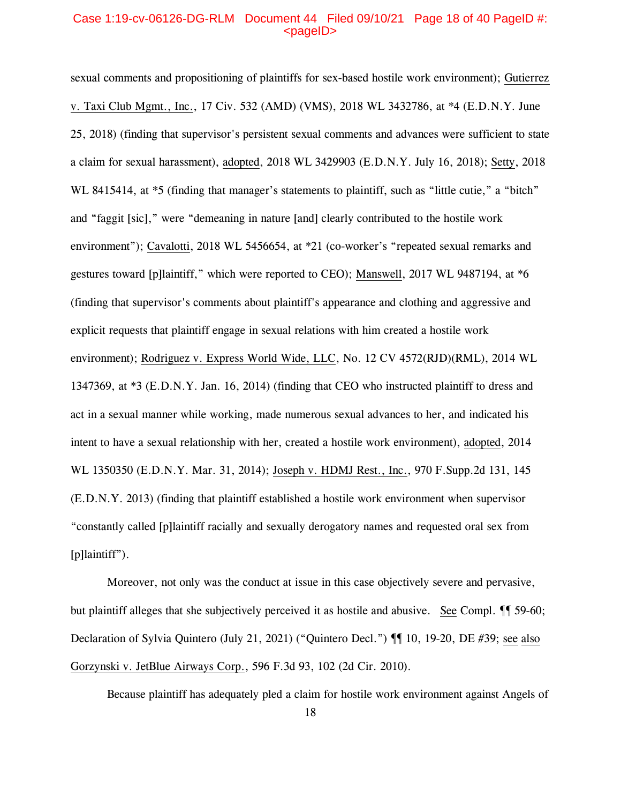# Case 1:19-cv-06126-DG-RLM Document 44 Filed 09/10/21 Page 18 of 40 PageID #:  $<sub>pa</sub>$ gelD $>$ </sub>

sexual comments and propositioning of plaintiffs for sex-based hostile work environment); Gutierrez v. Taxi Club Mgmt., Inc., 17 Civ. 532 (AMD) (VMS), 2018 WL 3432786, at \*4 (E.D.N.Y. June 25, 2018) (finding that supervisor's persistent sexual comments and advances were sufficient to state a claim for sexual harassment), adopted, 2018 WL 3429903 (E.D.N.Y. July 16, 2018); Setty, 2018 WL 8415414, at  $*5$  (finding that manager's statements to plaintiff, such as "little cutie," a "bitch" and "faggit [sic]," were "demeaning in nature [and] clearly contributed to the hostile work environment"); Cavalotti, 2018 WL 5456654, at \*21 (co-worker's "repeated sexual remarks and gestures toward [p]laintiff," which were reported to CEO); Manswell, 2017 WL 9487194, at \*6 (finding that supervisor's comments about plaintiff's appearance and clothing and aggressive and explicit requests that plaintiff engage in sexual relations with him created a hostile work environment); Rodriguez v. Express World Wide, LLC, No. 12 CV 4572(RJD)(RML), 2014 WL 1347369, at \*3 (E.D.N.Y. Jan. 16, 2014) (finding that CEO who instructed plaintiff to dress and act in a sexual manner while working, made numerous sexual advances to her, and indicated his intent to have a sexual relationship with her, created a hostile work environment), adopted, 2014 WL 1350350 (E.D.N.Y. Mar. 31, 2014); Joseph v. HDMJ Rest., Inc., 970 F.Supp.2d 131, 145 (E.D.N.Y. 2013) (finding that plaintiff established a hostile work environment when supervisor "constantly called [p]laintiff racially and sexually derogatory names and requested oral sex from [p]laintiff").

Moreover, not only was the conduct at issue in this case objectively severe and pervasive, but plaintiff alleges that she subjectively perceived it as hostile and abusive. See Compl.  $\P$  59-60; Declaration of Sylvia Quintero (July 21, 2021) ("Quintero Decl.") ¶¶ 10, 19-20, DE #39; see also Gorzynski v. JetBlue Airways Corp., 596 F.3d 93, 102 (2d Cir. 2010).

Because plaintiff has adequately pled a claim for hostile work environment against Angels of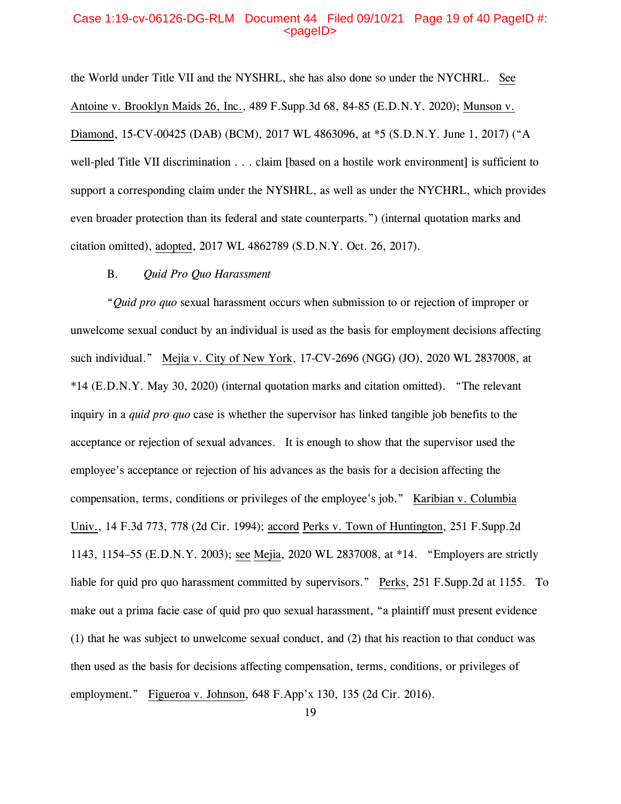### Case 1:19-cv-06126-DG-RLM Document 44 Filed 09/10/21 Page 19 of 40 PageID #:  $<sub>pa</sub>$  $<sub>o</sub>$ </sub></sub>

the World under Title VII and the NYSHRL, she has also done so under the NYCHRL. See Antoine v. Brooklyn Maids 26, Inc., 489 F.Supp.3d 68, 84-85 (E.D.N.Y. 2020); Munson v. Diamond, 15-CV-00425 (DAB) (BCM), 2017 WL 4863096, at \*5 (S.D.N.Y. June 1, 2017) ("A well-pled Title VII discrimination . . . claim [based on a hostile work environment] is sufficient to support a corresponding claim under the NYSHRL, as well as under the NYCHRL, which provides even broader protection than its federal and state counterparts.") (internal quotation marks and citation omitted), adopted, 2017 WL 4862789 (S.D.N.Y. Oct. 26, 2017).

### B. *Quid Pro Quo Harassment*

"*Quid pro quo* sexual harassment occurs when submission to or rejection of improper or unwelcome sexual conduct by an individual is used as the basis for employment decisions affecting such individual." Mejia v. City of New York, 17-CV-2696 (NGG) (JO), 2020 WL 2837008, at \*14 (E.D.N.Y. May 30, 2020) (internal quotation marks and citation omitted). "The relevant inquiry in a *quid pro quo* case is whether the supervisor has linked tangible job benefits to the acceptance or rejection of sexual advances. It is enough to show that the supervisor used the employee's acceptance or rejection of his advances as the basis for a decision affecting the compensation, terms, conditions or privileges of the employee's job." Karibian v. Columbia Univ., 14 F.3d 773, 778 (2d Cir. 1994); accord Perks v. Town of Huntington, 251 F.Supp.2d 1143, 1154–55 (E.D.N.Y. 2003); see Mejia, 2020 WL 2837008, at \*14. "Employers are strictly liable for quid pro quo harassment committed by supervisors." Perks, 251 F.Supp.2d at 1155. To make out a prima facie case of quid pro quo sexual harassment, "a plaintiff must present evidence (1) that he was subject to unwelcome sexual conduct, and (2) that his reaction to that conduct was then used as the basis for decisions affecting compensation, terms, conditions, or privileges of employment." Figueroa v. Johnson, 648 F.App'x 130, 135 (2d Cir. 2016).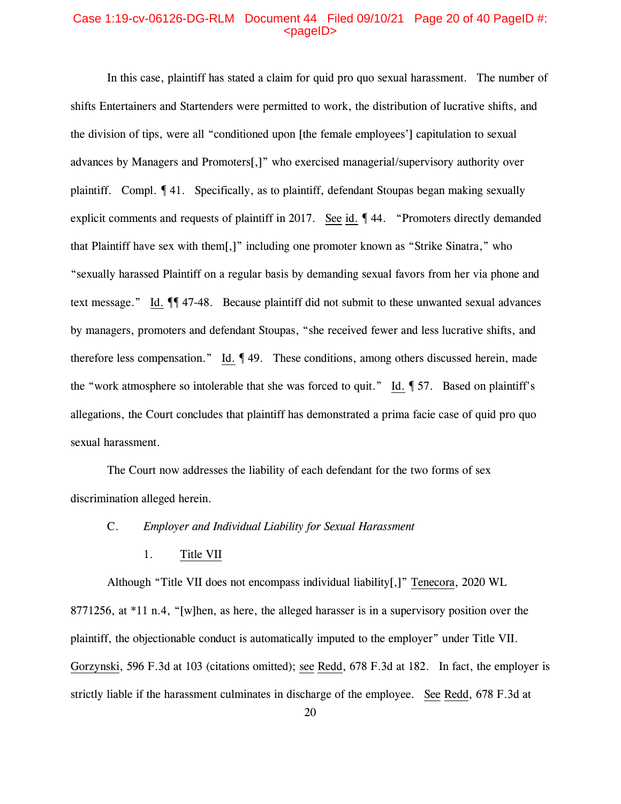### Case 1:19-cv-06126-DG-RLM Document 44 Filed 09/10/21 Page 20 of 40 PageID #:  $<sub>pa</sub>$  $<sub>o</sub>$ </sub></sub>

In this case, plaintiff has stated a claim for quid pro quo sexual harassment. The number of shifts Entertainers and Startenders were permitted to work, the distribution of lucrative shifts, and the division of tips, were all "conditioned upon [the female employees'] capitulation to sexual advances by Managers and Promoters[,]" who exercised managerial/supervisory authority over plaintiff. Compl. ¶ 41. Specifically, as to plaintiff, defendant Stoupas began making sexually explicit comments and requests of plaintiff in 2017. See id. ¶ 44. "Promoters directly demanded that Plaintiff have sex with them[,]" including one promoter known as "Strike Sinatra," who "sexually harassed Plaintiff on a regular basis by demanding sexual favors from her via phone and text message." Id. ¶¶ 47-48. Because plaintiff did not submit to these unwanted sexual advances by managers, promoters and defendant Stoupas, "she received fewer and less lucrative shifts, and therefore less compensation." Id. ¶ 49. These conditions, among others discussed herein, made the "work atmosphere so intolerable that she was forced to quit." Id. ¶ 57. Based on plaintiff's allegations, the Court concludes that plaintiff has demonstrated a prima facie case of quid pro quo sexual harassment.

The Court now addresses the liability of each defendant for the two forms of sex discrimination alleged herein.

# C. *Employer and Individual Liability for Sexual Harassment*

1. Title VII

Although "Title VII does not encompass individual liability[,]" Tenecora, 2020 WL 8771256, at \*11 n.4, "[w]hen, as here, the alleged harasser is in a supervisory position over the plaintiff, the objectionable conduct is automatically imputed to the employer" under Title VII. Gorzynski, 596 F.3d at 103 (citations omitted); see Redd, 678 F.3d at 182. In fact, the employer is strictly liable if the harassment culminates in discharge of the employee. See Redd, 678 F.3d at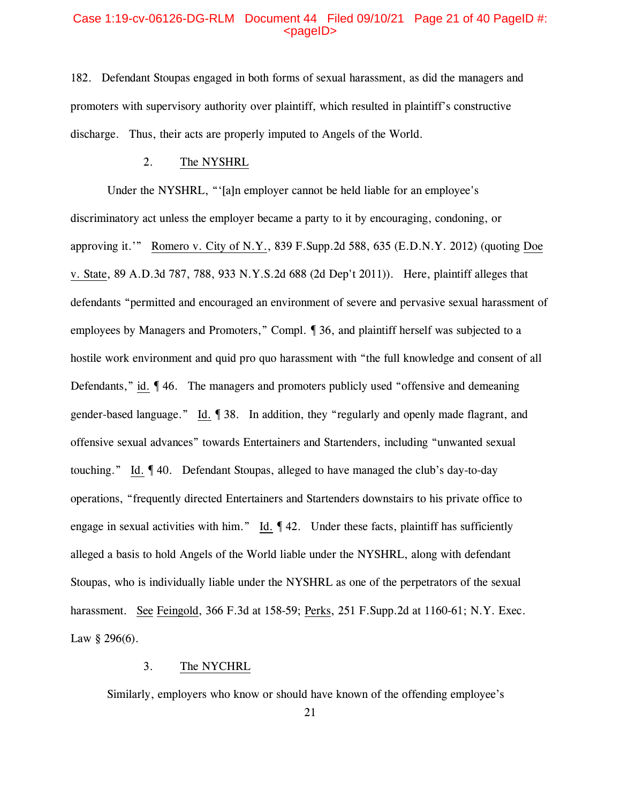### Case 1:19-cv-06126-DG-RLM Document 44 Filed 09/10/21 Page 21 of 40 PageID #:  $<$ pageID $>$

182. Defendant Stoupas engaged in both forms of sexual harassment, as did the managers and promoters with supervisory authority over plaintiff, which resulted in plaintiff's constructive discharge. Thus, their acts are properly imputed to Angels of the World.

# 2. The NYSHRL

Under the NYSHRL, "'[a]n employer cannot be held liable for an employee's discriminatory act unless the employer became a party to it by encouraging, condoning, or approving it.'" Romero v. City of N.Y., 839 F.Supp.2d 588, 635 (E.D.N.Y. 2012) (quoting Doe v. State, 89 A.D.3d 787, 788, 933 N.Y.S.2d 688 (2d Dep't 2011)). Here, plaintiff alleges that defendants "permitted and encouraged an environment of severe and pervasive sexual harassment of employees by Managers and Promoters," Compl. ¶ 36, and plaintiff herself was subjected to a hostile work environment and quid pro quo harassment with "the full knowledge and consent of all Defendants," id. ¶ 46. The managers and promoters publicly used "offensive and demeaning gender-based language." Id. ¶ 38. In addition, they "regularly and openly made flagrant, and offensive sexual advances" towards Entertainers and Startenders, including "unwanted sexual touching." Id. ¶ 40. Defendant Stoupas, alleged to have managed the club's day-to-day operations, "frequently directed Entertainers and Startenders downstairs to his private office to engage in sexual activities with him." Id.  $\P$  42. Under these facts, plaintiff has sufficiently alleged a basis to hold Angels of the World liable under the NYSHRL, along with defendant Stoupas, who is individually liable under the NYSHRL as one of the perpetrators of the sexual harassment. See Feingold, 366 F.3d at 158-59; Perks, 251 F.Supp.2d at 1160-61; N.Y. Exec. Law  $§$  296(6).

# 3. The NYCHRL

Similarly, employers who know or should have known of the offending employee's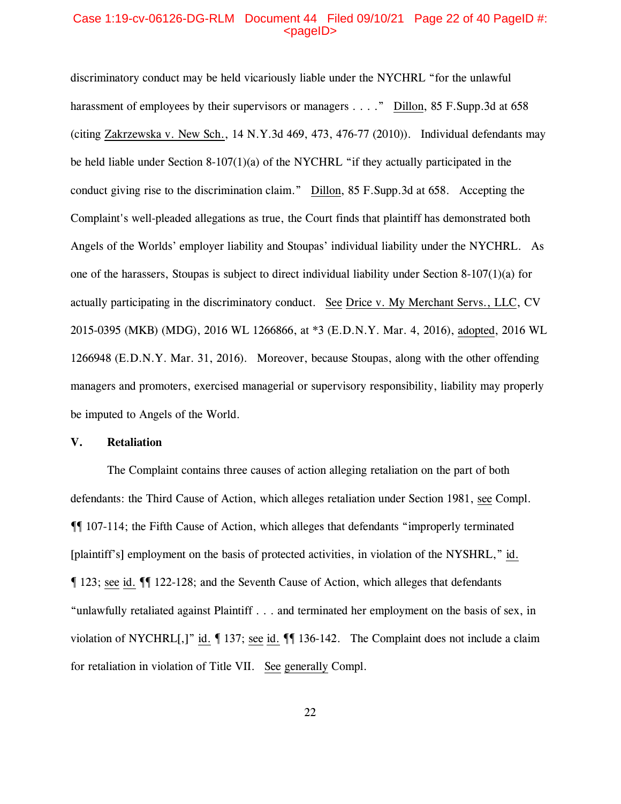### Case 1:19-cv-06126-DG-RLM Document 44 Filed 09/10/21 Page 22 of 40 PageID #:  $<sub>pa</sub>$  $<sub>o</sub>$ </sub></sub>

discriminatory conduct may be held vicariously liable under the NYCHRL "for the unlawful harassment of employees by their supervisors or managers . . . ." Dillon, 85 F. Supp. 3d at 658 (citing Zakrzewska v. New Sch., 14 N.Y.3d 469, 473, 476-77 (2010)). Individual defendants may be held liable under Section 8-107(1)(a) of the NYCHRL "if they actually participated in the conduct giving rise to the discrimination claim." Dillon, 85 F.Supp.3d at 658. Accepting the Complaint's well-pleaded allegations as true, the Court finds that plaintiff has demonstrated both Angels of the Worlds' employer liability and Stoupas' individual liability under the NYCHRL. As one of the harassers, Stoupas is subject to direct individual liability under Section 8-107(1)(a) for actually participating in the discriminatory conduct. See Drice v. My Merchant Servs., LLC, CV 2015-0395 (MKB) (MDG), 2016 WL 1266866, at \*3 (E.D.N.Y. Mar. 4, 2016), adopted, 2016 WL 1266948 (E.D.N.Y. Mar. 31, 2016). Moreover, because Stoupas, along with the other offending managers and promoters, exercised managerial or supervisory responsibility, liability may properly be imputed to Angels of the World.

# **V. Retaliation**

The Complaint contains three causes of action alleging retaliation on the part of both defendants: the Third Cause of Action, which alleges retaliation under Section 1981, see Compl. ¶¶ 107-114; the Fifth Cause of Action, which alleges that defendants "improperly terminated [plaintiff's] employment on the basis of protected activities, in violation of the NYSHRL," id. ¶ 123; see id. ¶¶ 122-128; and the Seventh Cause of Action, which alleges that defendants "unlawfully retaliated against Plaintiff . . . and terminated her employment on the basis of sex, in violation of NYCHRL[,]" id. ¶ 137; see id. ¶¶ 136-142. The Complaint does not include a claim for retaliation in violation of Title VII. See generally Compl.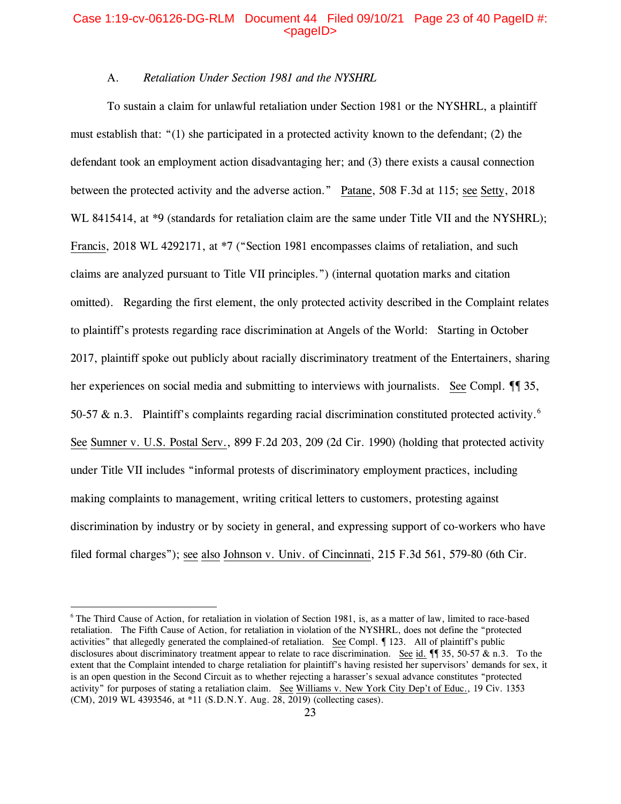# Case 1:19-cv-06126-DG-RLM Document 44 Filed 09/10/21 Page 23 of 40 PageID #:  $<sub>pa</sub>$  $<sub>o</sub>$ </sub></sub>

# A. *Retaliation Under Section 1981 and the NYSHRL*

To sustain a claim for unlawful retaliation under Section 1981 or the NYSHRL, a plaintiff must establish that: "(1) she participated in a protected activity known to the defendant; (2) the defendant took an employment action disadvantaging her; and (3) there exists a causal connection between the protected activity and the adverse action." Patane, 508 F.3d at 115; see Setty, 2018 WL 8415414, at  $*9$  (standards for retaliation claim are the same under Title VII and the NYSHRL); Francis, 2018 WL 4292171, at \*7 ("Section 1981 encompasses claims of retaliation, and such claims are analyzed pursuant to Title VII principles.") (internal quotation marks and citation omitted). Regarding the first element, the only protected activity described in the Complaint relates to plaintiff's protests regarding race discrimination at Angels of the World: Starting in October 2017, plaintiff spoke out publicly about racially discriminatory treatment of the Entertainers, sharing her experiences on social media and submitting to interviews with journalists. See Compl.  $\P$  35, 50-57  $\&$  n.3. Plaintiff's complaints regarding racial discrimination constituted protected activity.<sup>[6](#page-22-0)</sup> See Sumner v. U.S. Postal Serv., 899 F.2d 203, 209 (2d Cir. 1990) (holding that protected activity under Title VII includes "informal protests of discriminatory employment practices, including making complaints to management, writing critical letters to customers, protesting against discrimination by industry or by society in general, and expressing support of co-workers who have filed formal charges"); see also Johnson v. Univ. of Cincinnati, 215 F.3d 561, 579-80 (6th Cir.

<span id="page-22-0"></span><sup>6</sup> The Third Cause of Action, for retaliation in violation of Section 1981, is, as a matter of law, limited to race-based retaliation. The Fifth Cause of Action, for retaliation in violation of the NYSHRL, does not define the "protected activities" that allegedly generated the complained-of retaliation. See Compl. ¶ 123. All of plaintiff's public disclosures about discriminatory treatment appear to relate to race discrimination. See id.  $\P$  35, 50-57  $\&$  n.3. To the extent that the Complaint intended to charge retaliation for plaintiff's having resisted her supervisors' demands for sex, it is an open question in the Second Circuit as to whether rejecting a harasser's sexual advance constitutes "protected activity" for purposes of stating a retaliation claim. See Williams v. New York City Dep't of Educ., 19 Civ. 1353 (CM), 2019 WL 4393546, at \*11 (S.D.N.Y. Aug. 28, 2019) (collecting cases).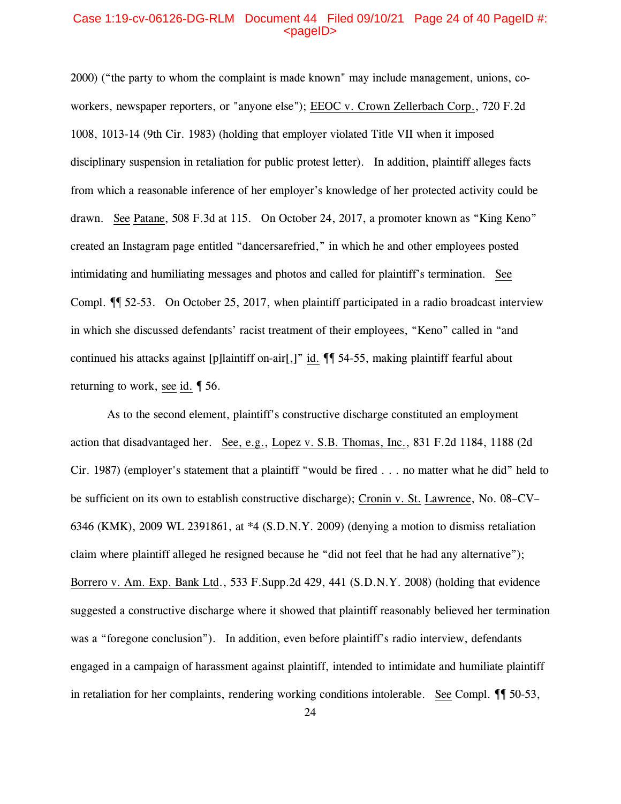# Case 1:19-cv-06126-DG-RLM Document 44 Filed 09/10/21 Page 24 of 40 PageID #:  $<sub>pa</sub>$  $<sub>o</sub>$ </sub></sub>

2000) ("the party to whom the complaint is made known" may include management, unions, coworkers, newspaper reporters, or "anyone else"); EEOC v. Crown Zellerbach Corp., 720 F.2d 1008, 1013-14 (9th Cir. 1983) (holding that employer violated Title VII when it imposed disciplinary suspension in retaliation for public protest letter). In addition, plaintiff alleges facts from which a reasonable inference of her employer's knowledge of her protected activity could be drawn. See Patane, 508 F.3d at 115. On October 24, 2017, a promoter known as "King Keno" created an Instagram page entitled "dancersarefried," in which he and other employees posted intimidating and humiliating messages and photos and called for plaintiff's termination. See Compl. ¶¶ 52-53. On October 25, 2017, when plaintiff participated in a radio broadcast interview in which she discussed defendants' racist treatment of their employees, "Keno" called in "and continued his attacks against [p]laintiff on-air[,]" id. ¶¶ 54-55, making plaintiff fearful about returning to work, see id. ¶ 56.

As to the second element, plaintiff's constructive discharge constituted an employment action that disadvantaged her. See, e.g., Lopez v. S.B. Thomas, Inc., 831 F.2d 1184, 1188 (2d Cir. 1987) (employer's statement that a plaintiff "would be fired . . . no matter what he did" held to be sufficient on its own to establish constructive discharge); Cronin v. St. Lawrence, No. 08–CV– 6346 (KMK), 2009 WL 2391861, at \*4 (S.D.N.Y. 2009) (denying a motion to dismiss retaliation claim where plaintiff alleged he resigned because he "did not feel that he had any alternative"); Borrero v. Am. Exp. Bank Ltd., 533 F.Supp.2d 429, 441 (S.D.N.Y. 2008) (holding that evidence suggested a constructive discharge where it showed that plaintiff reasonably believed her termination was a "foregone conclusion"). In addition, even before plaintiff's radio interview, defendants engaged in a campaign of harassment against plaintiff, intended to intimidate and humiliate plaintiff in retaliation for her complaints, rendering working conditions intolerable. See Compl.  $\P$  50-53,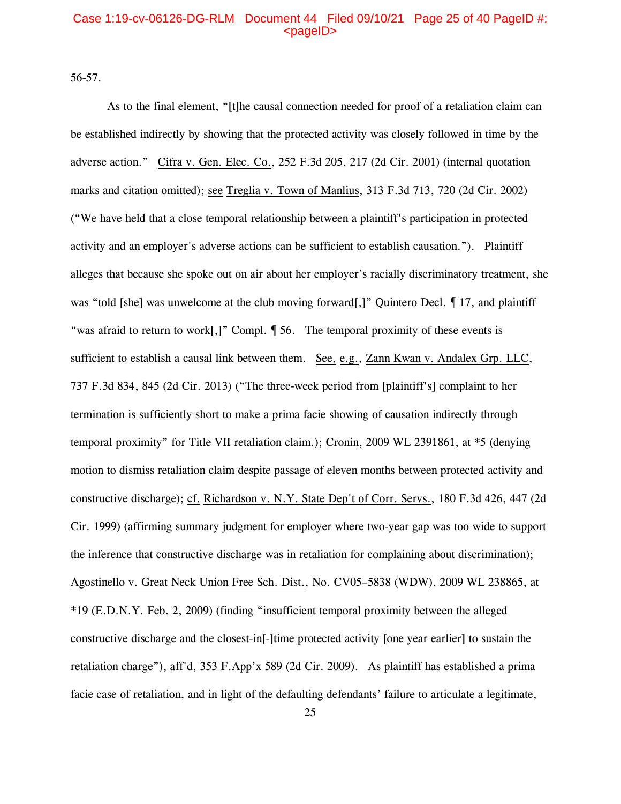# Case 1:19-cv-06126-DG-RLM Document 44 Filed 09/10/21 Page 25 of 40 PageID #:  $<sub>pa</sub>$ gelD $>$ </sub>

56-57.

As to the final element, "[t]he causal connection needed for proof of a retaliation claim can be established indirectly by showing that the protected activity was closely followed in time by the adverse action." Cifra v. Gen. Elec. Co., 252 F.3d 205, 217 (2d Cir. 2001) (internal quotation marks and citation omitted); see Treglia v. Town of Manlius, 313 F.3d 713, 720 (2d Cir. 2002) ("We have held that a close temporal relationship between a plaintiff's participation in protected activity and an employer's adverse actions can be sufficient to establish causation."). Plaintiff alleges that because she spoke out on air about her employer's racially discriminatory treatment, she was "told [she] was unwelcome at the club moving forward[,]" Quintero Decl. 17, and plaintiff "was afraid to return to work[,]" Compl. ¶ 56. The temporal proximity of these events is sufficient to establish a causal link between them. See, e.g., Zann Kwan v. Andalex Grp. LLC, 737 F.3d 834, 845 (2d Cir. 2013) ("The three-week period from [plaintiff's] complaint to her termination is sufficiently short to make a prima facie showing of causation indirectly through temporal proximity" for Title VII retaliation claim.); Cronin, 2009 WL 2391861, at \*5 (denying motion to dismiss retaliation claim despite passage of eleven months between protected activity and constructive discharge); cf. Richardson v. N.Y. State Dep't of Corr. Servs., 180 F.3d 426, 447 (2d Cir. 1999) (affirming summary judgment for employer where two-year gap was too wide to support the inference that constructive discharge was in retaliation for complaining about discrimination); Agostinello v. Great Neck Union Free Sch. Dist., No. CV05–5838 (WDW), 2009 WL 238865, at \*19 (E.D.N.Y. Feb. 2, 2009) (finding "insufficient temporal proximity between the alleged constructive discharge and the closest-in[-]time protected activity [one year earlier] to sustain the retaliation charge"), aff'd, 353 F.App'x 589 (2d Cir. 2009). As plaintiff has established a prima facie case of retaliation, and in light of the defaulting defendants' failure to articulate a legitimate,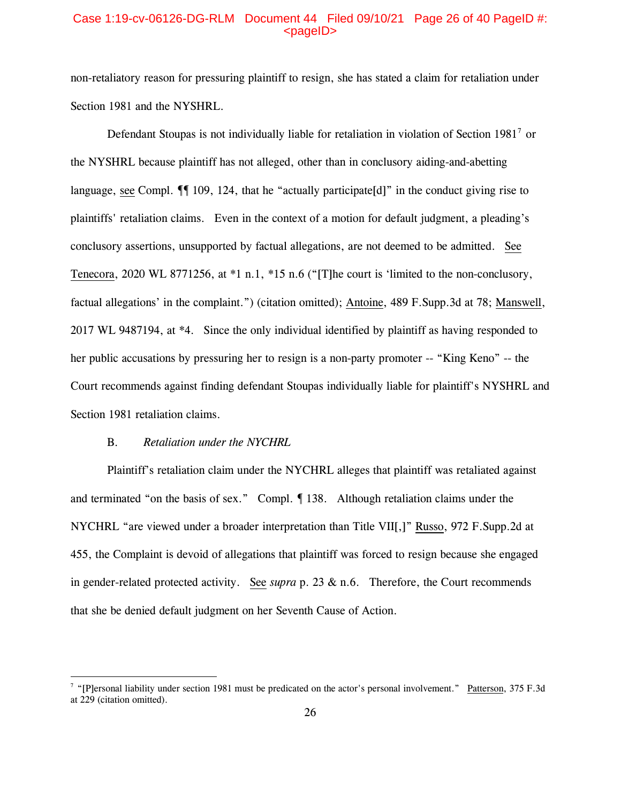# Case 1:19-cv-06126-DG-RLM Document 44 Filed 09/10/21 Page 26 of 40 PageID #:  $<sub>pa</sub>$ gelD $>$ </sub>

non-retaliatory reason for pressuring plaintiff to resign, she has stated a claim for retaliation under Section 1981 and the NYSHRL.

Defendant Stoupas is not individually liable for retaliation in violation of Section 1981<sup>[7](#page-25-0)</sup> or the NYSHRL because plaintiff has not alleged, other than in conclusory aiding-and-abetting language, see Compl.  $\P$  109, 124, that he "actually participate [d]" in the conduct giving rise to plaintiffs' retaliation claims. Even in the context of a motion for default judgment, a pleading's conclusory assertions, unsupported by factual allegations, are not deemed to be admitted. See Tenecora, 2020 WL 8771256, at \*1 n.1, \*15 n.6 ("[T]he court is 'limited to the non-conclusory, factual allegations' in the complaint.") (citation omitted); Antoine, 489 F.Supp.3d at 78; Manswell, 2017 WL 9487194, at \*4. Since the only individual identified by plaintiff as having responded to her public accusations by pressuring her to resign is a non-party promoter -- "King Keno" -- the Court recommends against finding defendant Stoupas individually liable for plaintiff's NYSHRL and Section 1981 retaliation claims.

### B. *Retaliation under the NYCHRL*

Plaintiff's retaliation claim under the NYCHRL alleges that plaintiff was retaliated against and terminated "on the basis of sex." Compl. ¶ 138. Although retaliation claims under the NYCHRL "are viewed under a broader interpretation than Title VII[,]" Russo, 972 F.Supp.2d at 455, the Complaint is devoid of allegations that plaintiff was forced to resign because she engaged in gender-related protected activity. See *supra* p. 23 & n.6. Therefore, the Court recommends that she be denied default judgment on her Seventh Cause of Action.

<span id="page-25-0"></span><sup>&</sup>lt;sup>7</sup> "[P]ersonal liability under section 1981 must be predicated on the actor's personal involvement." Patterson, 375 F.3d at 229 (citation omitted).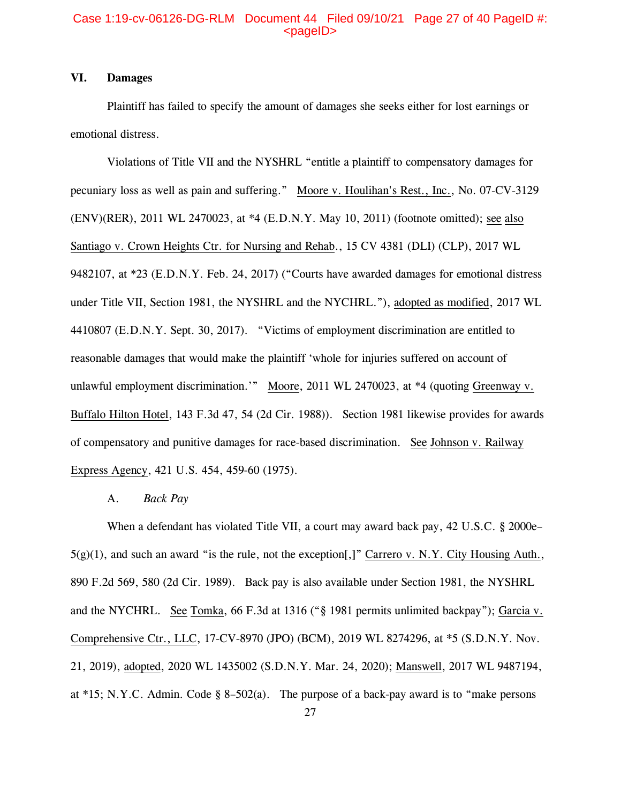# Case 1:19-cv-06126-DG-RLM Document 44 Filed 09/10/21 Page 27 of 40 PageID #:  $<sub>pa</sub>$ gelD $>$ </sub>

# **VI. Damages**

Plaintiff has failed to specify the amount of damages she seeks either for lost earnings or emotional distress.

Violations of Title VII and the NYSHRL "entitle a plaintiff to compensatory damages for pecuniary loss as well as pain and suffering." Moore v. Houlihan's Rest., Inc., No. 07-CV-3129 (ENV)(RER), 2011 WL 2470023, at \*4 (E.D.N.Y. May 10, 2011) (footnote omitted); see also Santiago v. Crown Heights Ctr. for Nursing and Rehab., 15 CV 4381 (DLI) (CLP), 2017 WL 9482107, at \*23 (E.D.N.Y. Feb. 24, 2017) ("Courts have awarded damages for emotional distress under Title VII, Section 1981, the NYSHRL and the NYCHRL."), adopted as modified, 2017 WL 4410807 (E.D.N.Y. Sept. 30, 2017). "Victims of employment discrimination are entitled to reasonable damages that would make the plaintiff 'whole for injuries suffered on account of unlawful employment discrimination.'" Moore, 2011 WL 2470023, at \*4 (quoting Greenway v. Buffalo Hilton Hotel, 143 F.3d 47, 54 (2d Cir. 1988)). Section 1981 likewise provides for awards of compensatory and punitive damages for race-based discrimination. See Johnson v. Railway Express Agency, 421 U.S. 454, 459-60 (1975).

#### A. *Back Pay*

When a defendant has violated Title VII, a court may award back pay, 42 U.S.C. § 2000e–  $5(g)(1)$ , and such an award "is the rule, not the exception[,]" Carrero v. N.Y. City Housing Auth., 890 F.2d 569, 580 (2d Cir. 1989). Back pay is also available under Section 1981, the NYSHRL and the NYCHRL. See Tomka, 66 F.3d at 1316 ("§ 1981 permits unlimited backpay"); Garcia v. Comprehensive Ctr., LLC, 17-CV-8970 (JPO) (BCM), 2019 WL 8274296, at \*5 (S.D.N.Y. Nov. 21, 2019), adopted, 2020 WL 1435002 (S.D.N.Y. Mar. 24, 2020); Manswell, 2017 WL 9487194, at \*15; N.Y.C. Admin. Code § 8–502(a). The purpose of a back-pay award is to "make persons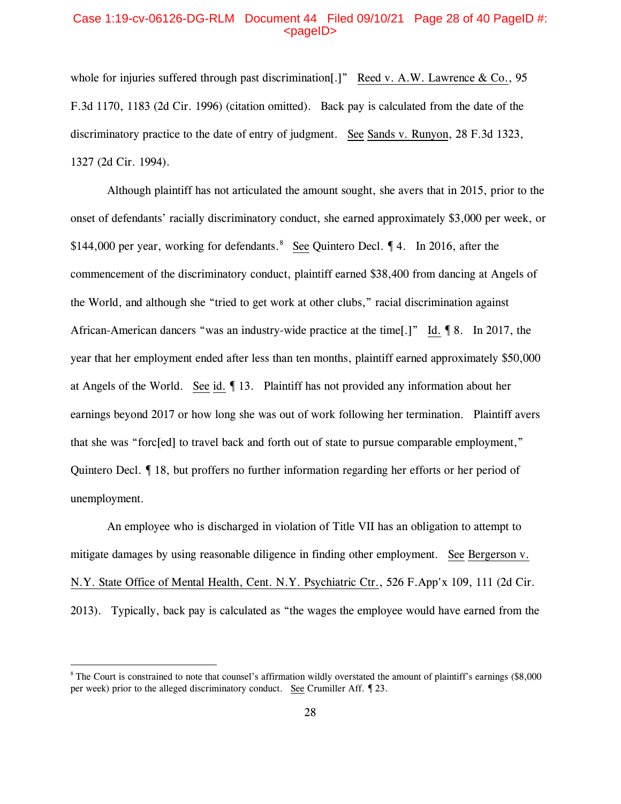### Case 1:19-cv-06126-DG-RLM Document 44 Filed 09/10/21 Page 28 of 40 PageID #:  $<sub>pa</sub>$ gelD $>$ </sub>

whole for injuries suffered through past discrimination[.]" Reed v. A.W. Lawrence & Co., 95 F.3d 1170, 1183 (2d Cir. 1996) (citation omitted). Back pay is calculated from the date of the discriminatory practice to the date of entry of judgment. See Sands v. Runyon, 28 F.3d 1323, 1327 (2d Cir. 1994).

Although plaintiff has not articulated the amount sought, she avers that in 2015, prior to the onset of defendants' racially discriminatory conduct, she earned approximately \$3,000 per week, or \$144,000 per year, working for defendants.<sup>[8](#page-27-0)</sup> See Quintero Decl. 14. In 2016, after the commencement of the discriminatory conduct, plaintiff earned \$38,400 from dancing at Angels of the World, and although she "tried to get work at other clubs," racial discrimination against African-American dancers "was an industry-wide practice at the time[.]" Id. 18. In 2017, the year that her employment ended after less than ten months, plaintiff earned approximately \$50,000 at Angels of the World. See id. ¶ 13. Plaintiff has not provided any information about her earnings beyond 2017 or how long she was out of work following her termination. Plaintiff avers that she was "forc[ed] to travel back and forth out of state to pursue comparable employment," Quintero Decl. ¶ 18, but proffers no further information regarding her efforts or her period of unemployment.

An employee who is discharged in violation of Title VII has an obligation to attempt to mitigate damages by using reasonable diligence in finding other employment. See Bergerson v. N.Y. State Office of Mental Health, Cent. N.Y. Psychiatric Ctr., 526 F.App'x 109, 111 (2d Cir. 2013). Typically, back pay is calculated as "the wages the employee would have earned from the

<span id="page-27-0"></span><sup>&</sup>lt;sup>8</sup> The Court is constrained to note that counsel's affirmation wildly overstated the amount of plaintiff's earnings (\$8,000) per week) prior to the alleged discriminatory conduct. See Crumiller Aff. ¶ 23.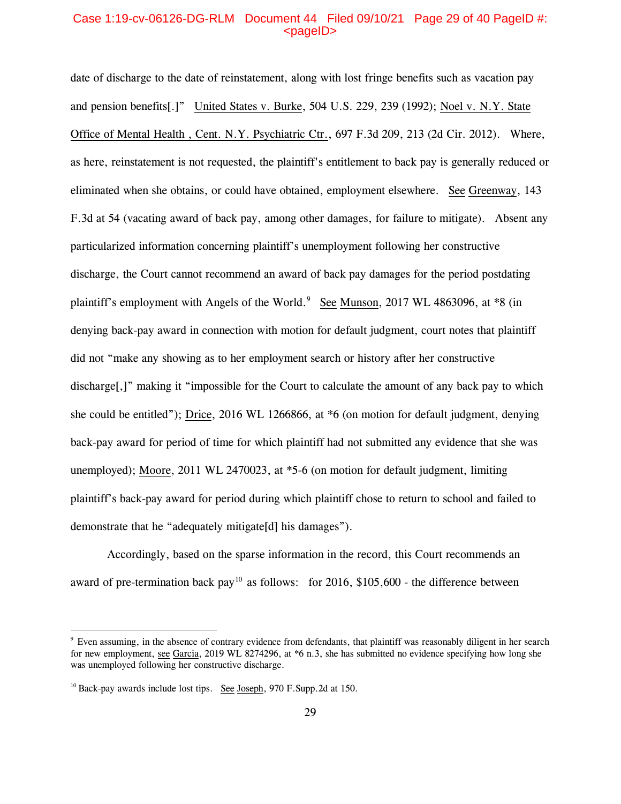### Case 1:19-cv-06126-DG-RLM Document 44 Filed 09/10/21 Page 29 of 40 PageID #:  $<sub>pa</sub>$  $<sub>o</sub>$ </sub></sub>

date of discharge to the date of reinstatement, along with lost fringe benefits such as vacation pay and pension benefits[.]" United States v. Burke, 504 U.S. 229, 239 (1992); Noel v. N.Y. State Office of Mental Health , Cent. N.Y. Psychiatric Ctr., 697 F.3d 209, 213 (2d Cir. 2012). Where, as here, reinstatement is not requested, the plaintiff's entitlement to back pay is generally reduced or eliminated when she obtains, or could have obtained, employment elsewhere. See Greenway, 143 F.3d at 54 (vacating award of back pay, among other damages, for failure to mitigate). Absent any particularized information concerning plaintiff's unemployment following her constructive discharge, the Court cannot recommend an award of back pay damages for the period postdating plaintiff's employment with Angels of the World.<sup>[9](#page-28-0)</sup> See Munson, 2017 WL 4863096, at \*8 (in denying back-pay award in connection with motion for default judgment, court notes that plaintiff did not "make any showing as to her employment search or history after her constructive discharge[,]" making it "impossible for the Court to calculate the amount of any back pay to which she could be entitled"); Drice, 2016 WL 1266866, at \*6 (on motion for default judgment, denying back-pay award for period of time for which plaintiff had not submitted any evidence that she was unemployed); Moore, 2011 WL 2470023, at \*5-6 (on motion for default judgment, limiting plaintiff's back-pay award for period during which plaintiff chose to return to school and failed to demonstrate that he "adequately mitigate[d] his damages").

Accordingly, based on the sparse information in the record, this Court recommends an award of pre-termination back pay<sup>[10](#page-28-1)</sup> as follows: for 2016, \$105,600 - the difference between

<span id="page-28-0"></span><sup>9</sup> Even assuming, in the absence of contrary evidence from defendants, that plaintiff was reasonably diligent in her search for new employment, see Garcia, 2019 WL 8274296, at \*6 n.3, she has submitted no evidence specifying how long she was unemployed following her constructive discharge.

<span id="page-28-1"></span><sup>&</sup>lt;sup>10</sup> Back-pay awards include lost tips. See Joseph, 970 F.Supp.2d at 150.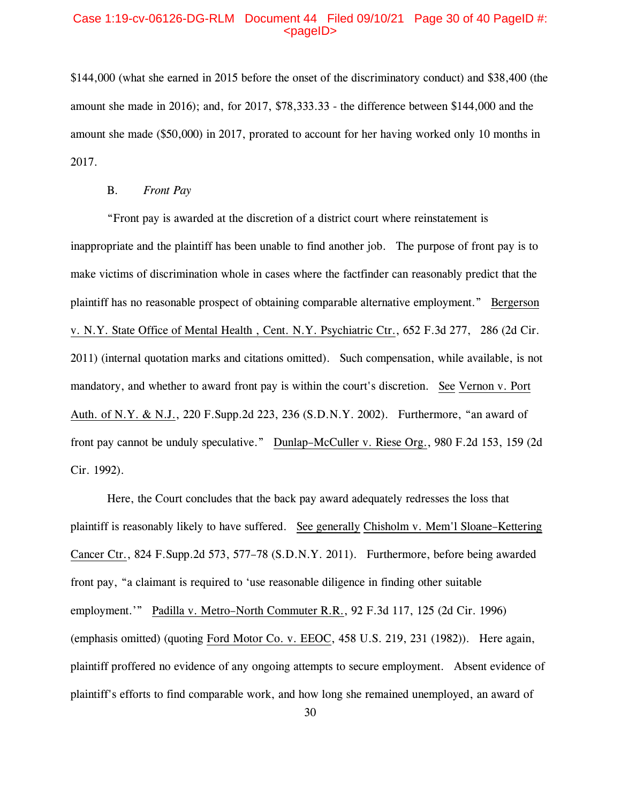# Case 1:19-cv-06126-DG-RLM Document 44 Filed 09/10/21 Page 30 of 40 PageID #:  $<sub>pa</sub>$  $<sub>o</sub>$ </sub></sub>

\$144,000 (what she earned in 2015 before the onset of the discriminatory conduct) and \$38,400 (the amount she made in 2016); and, for 2017, \$78,333.33 - the difference between \$144,000 and the amount she made (\$50,000) in 2017, prorated to account for her having worked only 10 months in 2017.

# B. *Front Pay*

"Front pay is awarded at the discretion of a district court where reinstatement is inappropriate and the plaintiff has been unable to find another job. The purpose of front pay is to make victims of discrimination whole in cases where the factfinder can reasonably predict that the plaintiff has no reasonable prospect of obtaining comparable alternative employment." Bergerson v. N.Y. State Office of Mental Health , Cent. N.Y. Psychiatric Ctr., 652 F.3d 277, 286 (2d Cir. 2011) (internal quotation marks and citations omitted). Such compensation, while available, is not mandatory, and whether to award front pay is within the court's discretion. See Vernon v. Port Auth. of N.Y. & N.J., 220 F.Supp.2d 223, 236 (S.D.N.Y. 2002). Furthermore, "an award of front pay cannot be unduly speculative." Dunlap–McCuller v. Riese Org., 980 F.2d 153, 159 (2d Cir. 1992).

Here, the Court concludes that the back pay award adequately redresses the loss that plaintiff is reasonably likely to have suffered. See generally Chisholm v. Mem'l Sloane–Kettering Cancer Ctr., 824 F.Supp.2d 573, 577–78 (S.D.N.Y. 2011). Furthermore, before being awarded front pay, "a claimant is required to 'use reasonable diligence in finding other suitable employment.'" Padilla v. Metro–North Commuter R.R., 92 F.3d 117, 125 (2d Cir. 1996) (emphasis omitted) (quoting Ford Motor Co. v. EEOC, 458 U.S. 219, 231 (1982)). Here again, plaintiff proffered no evidence of any ongoing attempts to secure employment. Absent evidence of plaintiff's efforts to find comparable work, and how long she remained unemployed, an award of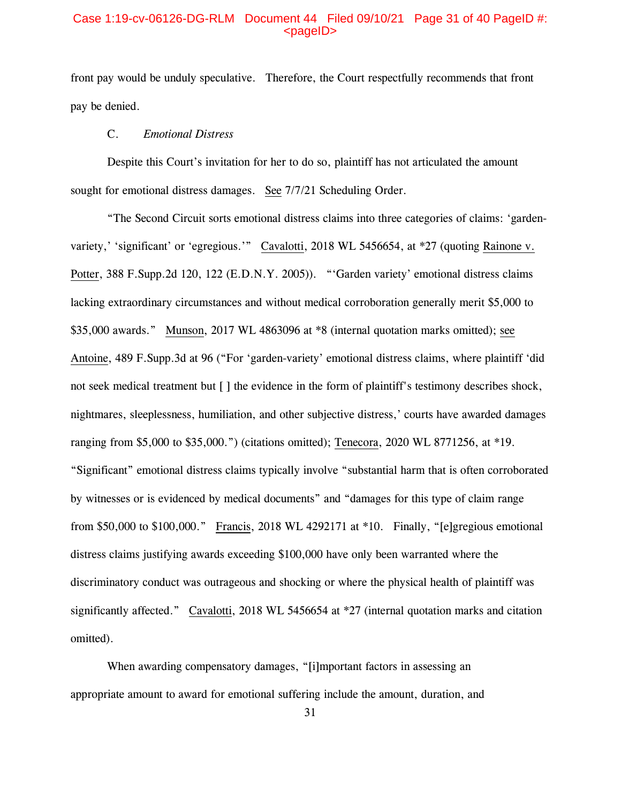# Case 1:19-cv-06126-DG-RLM Document 44 Filed 09/10/21 Page 31 of 40 PageID #:  $<sub>pa</sub>$  $<sub>o</sub>$ </sub></sub>

front pay would be unduly speculative. Therefore, the Court respectfully recommends that front pay be denied.

# C. *Emotional Distress*

Despite this Court's invitation for her to do so, plaintiff has not articulated the amount sought for emotional distress damages. See 7/7/21 Scheduling Order.

"The Second Circuit sorts emotional distress claims into three categories of claims: 'gardenvariety,' 'significant' or 'egregious.'" Cavalotti, 2018 WL 5456654, at \*27 (quoting Rainone v. Potter, 388 F.Supp.2d 120, 122 (E.D.N.Y. 2005)). "'Garden variety' emotional distress claims lacking extraordinary circumstances and without medical corroboration generally merit \$5,000 to \$35,000 awards." Munson, 2017 WL 4863096 at \*8 (internal quotation marks omitted); see Antoine, 489 F.Supp.3d at 96 ("For 'garden-variety' emotional distress claims, where plaintiff 'did not seek medical treatment but [ ] the evidence in the form of plaintiff's testimony describes shock, nightmares, sleeplessness, humiliation, and other subjective distress,' courts have awarded damages ranging from \$5,000 to \$35,000.") (citations omitted); Tenecora, 2020 WL 8771256, at \*19. "Significant" emotional distress claims typically involve "substantial harm that is often corroborated by witnesses or is evidenced by medical documents" and "damages for this type of claim range from \$50,000 to \$100,000." Francis, 2018 WL 4292171 at \*10. Finally, "[e]gregious emotional distress claims justifying awards exceeding \$100,000 have only been warranted where the discriminatory conduct was outrageous and shocking or where the physical health of plaintiff was significantly affected." Cavalotti, 2018 WL 5456654 at \*27 (internal quotation marks and citation omitted).

When awarding compensatory damages, "[i]mportant factors in assessing an appropriate amount to award for emotional suffering include the amount, duration, and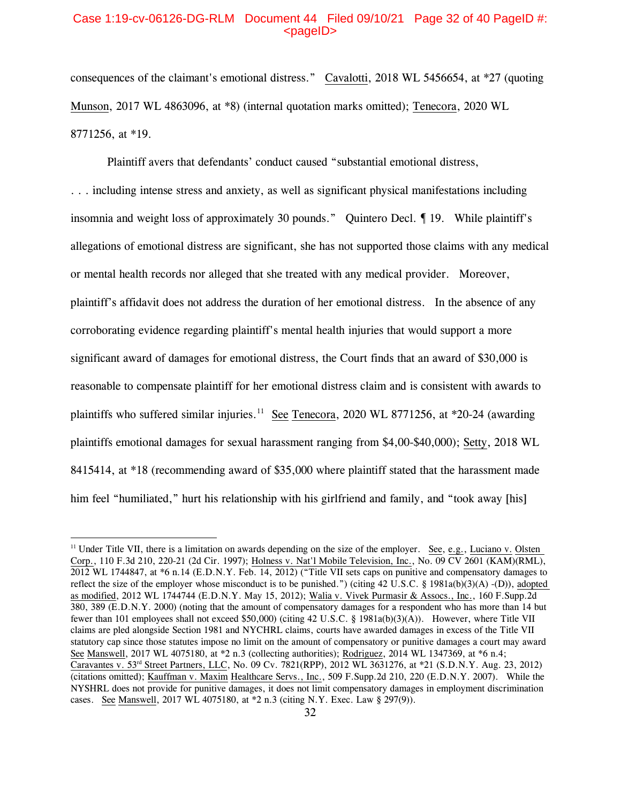## Case 1:19-cv-06126-DG-RLM Document 44 Filed 09/10/21 Page 32 of 40 PageID #:  $<sub>pa</sub>$  $<sub>o</sub>$ </sub></sub>

consequences of the claimant's emotional distress." Cavalotti, 2018 WL 5456654, at \*27 (quoting Munson, 2017 WL 4863096, at \*8) (internal quotation marks omitted); Tenecora, 2020 WL 8771256, at \*19.

Plaintiff avers that defendants' conduct caused "substantial emotional distress,

. . . including intense stress and anxiety, as well as significant physical manifestations including insomnia and weight loss of approximately 30 pounds." Quintero Decl. ¶ 19. While plaintiff's allegations of emotional distress are significant, she has not supported those claims with any medical or mental health records nor alleged that she treated with any medical provider. Moreover, plaintiff's affidavit does not address the duration of her emotional distress. In the absence of any corroborating evidence regarding plaintiff's mental health injuries that would support a more significant award of damages for emotional distress, the Court finds that an award of \$30,000 is reasonable to compensate plaintiff for her emotional distress claim and is consistent with awards to plaintiffs who suffered similar injuries.<sup>[11](#page-31-0)</sup> See Tenecora, 2020 WL 8771256, at  $*20-24$  (awarding plaintiffs emotional damages for sexual harassment ranging from \$4,00-\$40,000); Setty, 2018 WL 8415414, at \*18 (recommending award of \$35,000 where plaintiff stated that the harassment made him feel "humiliated," hurt his relationship with his girlfriend and family, and "took away [his]

<span id="page-31-0"></span><sup>&</sup>lt;sup>11</sup> Under Title VII, there is a limitation on awards depending on the size of the employer. See, e.g., Luciano v. Olsten Corp., 110 F.3d 210, 220-21 (2d Cir. 1997); Holness v. Nat'l Mobile Television, Inc., No. 09 CV 2601 (KAM)(RML), 2012 WL 1744847, at \*6 n.14 (E.D.N.Y. Feb. 14, 2012) ("Title VII sets caps on punitive and compensatory damages to reflect the size of the employer whose misconduct is to be punished.") (citing 42 U.S.C. § 1981a(b)(3)(A) -(D)), adopted as modified, 2012 WL 1744744 (E.D.N.Y. May 15, 2012); Walia v. Vivek Purmasir & Assocs., Inc., 160 F.Supp.2d 380, 389 (E.D.N.Y. 2000) (noting that the amount of compensatory damages for a respondent who has more than 14 but fewer than 101 employees shall not exceed \$50,000) (citing 42 U.S.C. § 1981a(b)(3)(A)). However, where Title VII claims are pled alongside Section 1981 and NYCHRL claims, courts have awarded damages in excess of the Title VII statutory cap since those statutes impose no limit on the amount of compensatory or punitive damages a court may award See Manswell, 2017 WL 4075180, at \*2 n.3 (collecting authorities); Rodriguez, 2014 WL 1347369, at \*6 n.4; Caravantes v. 53rd Street Partners, LLC, No. 09 Cv. 7821(RPP), 2012 WL 3631276, at \*21 (S.D.N.Y. Aug. 23, 2012) (citations omitted); Kauffman v. Maxim Healthcare Servs., Inc., 509 F.Supp.2d 210, 220 (E.D.N.Y. 2007). While the NYSHRL does not provide for punitive damages, it does not limit compensatory damages in employment discrimination cases. See Manswell, 2017 WL 4075180, at \*2 n.3 (citing N.Y. Exec. Law § 297(9)).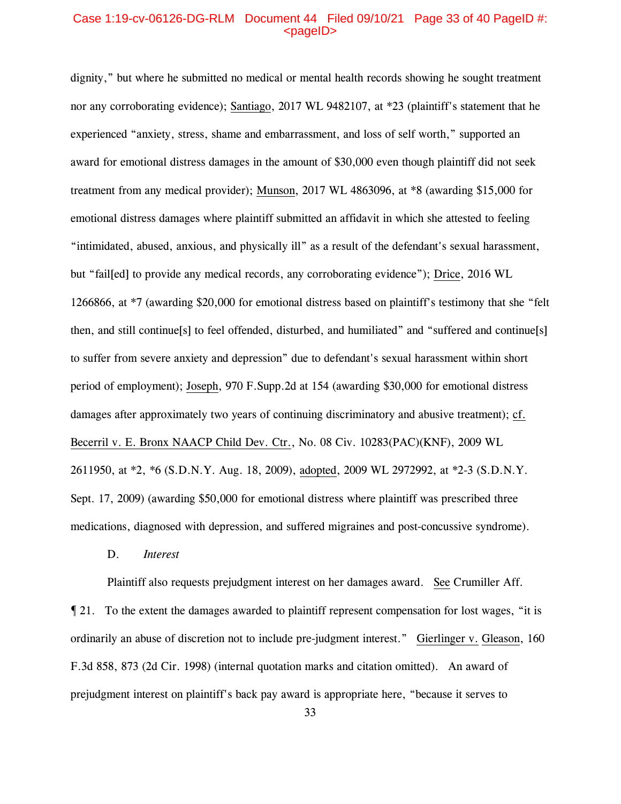# Case 1:19-cv-06126-DG-RLM Document 44 Filed 09/10/21 Page 33 of 40 PageID #:  $<sub>pa</sub>$  $<sub>o</sub>$ </sub></sub>

dignity," but where he submitted no medical or mental health records showing he sought treatment nor any corroborating evidence); Santiago, 2017 WL 9482107, at \*23 (plaintiff's statement that he experienced "anxiety, stress, shame and embarrassment, and loss of self worth," supported an award for emotional distress damages in the amount of \$30,000 even though plaintiff did not seek treatment from any medical provider); Munson, 2017 WL 4863096, at \*8 (awarding \$15,000 for emotional distress damages where plaintiff submitted an affidavit in which she attested to feeling "intimidated, abused, anxious, and physically ill" as a result of the defendant's sexual harassment, but "fail[ed] to provide any medical records, any corroborating evidence"); Drice, 2016 WL 1266866, at \*7 (awarding \$20,000 for emotional distress based on plaintiff's testimony that she "felt then, and still continue[s] to feel offended, disturbed, and humiliated" and "suffered and continue[s] to suffer from severe anxiety and depression" due to defendant's sexual harassment within short period of employment); Joseph, 970 F.Supp.2d at 154 (awarding \$30,000 for emotional distress damages after approximately two years of continuing discriminatory and abusive treatment); cf. Becerril v. E. Bronx NAACP Child Dev. Ctr., No. 08 Civ. 10283(PAC)(KNF), 2009 WL 2611950, at \*2, \*6 (S.D.N.Y. Aug. 18, 2009), adopted, 2009 WL 2972992, at \*2-3 (S.D.N.Y. Sept. 17, 2009) (awarding \$50,000 for emotional distress where plaintiff was prescribed three medications, diagnosed with depression, and suffered migraines and post-concussive syndrome).

D. *Interest*

Plaintiff also requests prejudgment interest on her damages award. See Crumiller Aff. ¶ 21. To the extent the damages awarded to plaintiff represent compensation for lost wages, "it is ordinarily an abuse of discretion not to include pre-judgment interest." Gierlinger v. Gleason, 160 F.3d 858, 873 (2d Cir. 1998) (internal quotation marks and citation omitted). An award of prejudgment interest on plaintiff's back pay award is appropriate here, "because it serves to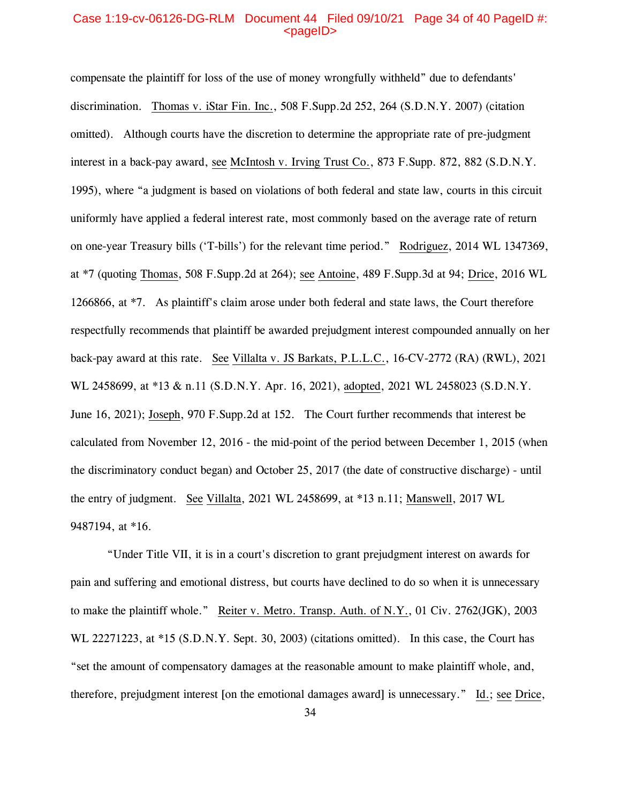### Case 1:19-cv-06126-DG-RLM Document 44 Filed 09/10/21 Page 34 of 40 PageID #:  $<sub>pa</sub>$  $<sub>o</sub>$ </sub></sub>

compensate the plaintiff for loss of the use of money wrongfully withheld" due to defendants' discrimination. Thomas v. iStar Fin. Inc., 508 F.Supp.2d 252, 264 (S.D.N.Y. 2007) (citation omitted). Although courts have the discretion to determine the appropriate rate of pre-judgment interest in a back-pay award, see McIntosh v. Irving Trust Co., 873 F.Supp. 872, 882 (S.D.N.Y. 1995), where "a judgment is based on violations of both federal and state law, courts in this circuit uniformly have applied a federal interest rate, most commonly based on the average rate of return on one-year Treasury bills ('T-bills') for the relevant time period." Rodriguez, 2014 WL 1347369, at \*7 (quoting Thomas, 508 F.Supp.2d at 264); see Antoine, 489 F.Supp.3d at 94; Drice, 2016 WL 1266866, at \*7. As plaintiff's claim arose under both federal and state laws, the Court therefore respectfully recommends that plaintiff be awarded prejudgment interest compounded annually on her back-pay award at this rate. See Villalta v. JS Barkats, P.L.L.C., 16-CV-2772 (RA) (RWL), 2021 WL 2458699, at \*13 & n.11 (S.D.N.Y. Apr. 16, 2021), adopted, 2021 WL 2458023 (S.D.N.Y. June 16, 2021); Joseph, 970 F.Supp.2d at 152. The Court further recommends that interest be calculated from November 12, 2016 - the mid-point of the period between December 1, 2015 (when the discriminatory conduct began) and October 25, 2017 (the date of constructive discharge) - until the entry of judgment. See Villalta, 2021 WL 2458699, at \*13 n.11; Manswell, 2017 WL 9487194, at \*16.

"Under Title VII, it is in a court's discretion to grant prejudgment interest on awards for pain and suffering and emotional distress, but courts have declined to do so when it is unnecessary to make the plaintiff whole." Reiter v. Metro. Transp. Auth. of N.Y., 01 Civ. 2762(JGK), 2003 WL 22271223, at \*15 (S.D.N.Y. Sept. 30, 2003) (citations omitted). In this case, the Court has "set the amount of compensatory damages at the reasonable amount to make plaintiff whole, and, therefore, prejudgment interest [on the emotional damages award] is unnecessary." Id.; see Drice,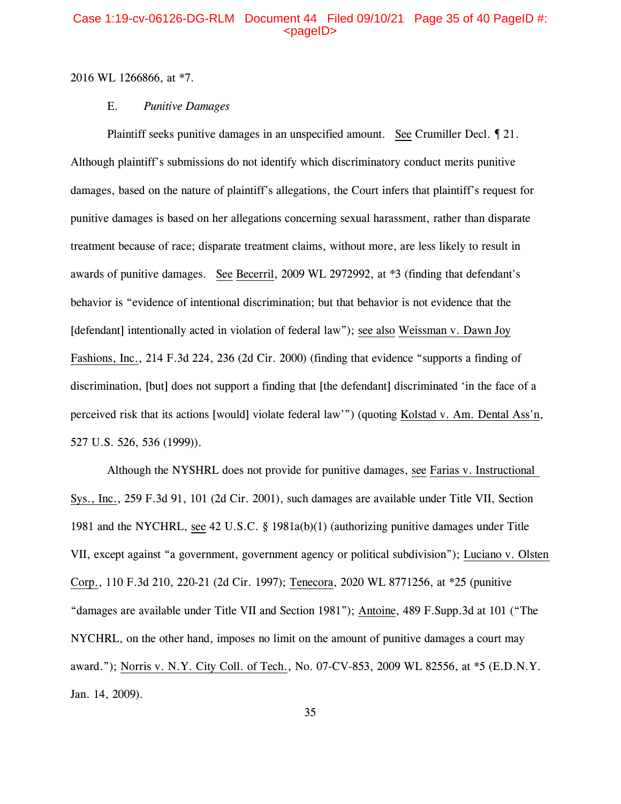# Case 1:19-cv-06126-DG-RLM Document 44 Filed 09/10/21 Page 35 of 40 PageID #:  $<sub>pa</sub>$ gelD $>$ </sub>

2016 WL 1266866, at \*7.

# E. *Punitive Damages*

Plaintiff seeks punitive damages in an unspecified amount. See Crumiller Decl. ¶ 21. Although plaintiff's submissions do not identify which discriminatory conduct merits punitive damages, based on the nature of plaintiff's allegations, the Court infers that plaintiff's request for punitive damages is based on her allegations concerning sexual harassment, rather than disparate treatment because of race; disparate treatment claims, without more, are less likely to result in awards of punitive damages. See Becerril, 2009 WL 2972992, at \*3 (finding that defendant's behavior is "evidence of intentional discrimination; but that behavior is not evidence that the [defendant] intentionally acted in violation of federal law"); see also Weissman v. Dawn Joy Fashions, Inc., 214 F.3d 224, 236 (2d Cir. 2000) (finding that evidence "supports a finding of discrimination, [but] does not support a finding that [the defendant] discriminated 'in the face of a perceived risk that its actions [would] violate federal law'") (quoting Kolstad v. Am. Dental Ass'n, 527 U.S. 526, 536 (1999)).

Although the NYSHRL does not provide for punitive damages, see Farias v. Instructional Sys., Inc., 259 F.3d 91, 101 (2d Cir. 2001), such damages are available under Title VII, Section 1981 and the NYCHRL, see 42 U.S.C. § 1981a(b)(1) (authorizing punitive damages under Title VII, except against "a government, government agency or political subdivision"); Luciano v. Olsten Corp., 110 F.3d 210, 220-21 (2d Cir. 1997); Tenecora, 2020 WL 8771256, at \*25 (punitive "damages are available under Title VII and Section 1981"); Antoine, 489 F.Supp.3d at 101 ("The NYCHRL, on the other hand, imposes no limit on the amount of punitive damages a court may award."); Norris v. N.Y. City Coll. of Tech., No. 07-CV-853, 2009 WL 82556, at \*5 (E.D.N.Y. Jan. 14, 2009).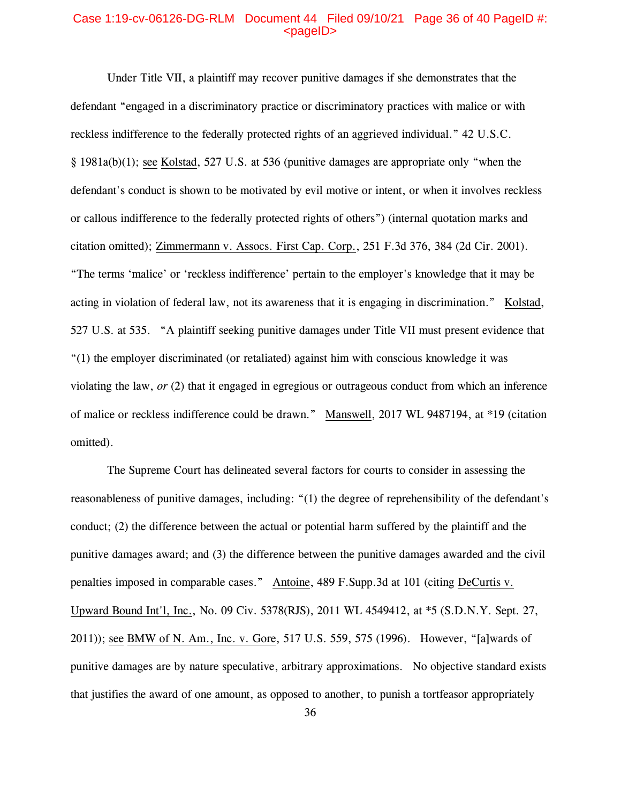# Case 1:19-cv-06126-DG-RLM Document 44 Filed 09/10/21 Page 36 of 40 PageID #:  $<sub>pa</sub>$  $<sub>o</sub>$ </sub></sub>

Under Title VII, a plaintiff may recover punitive damages if she demonstrates that the defendant "engaged in a discriminatory practice or discriminatory practices with malice or with reckless indifference to the federally protected rights of an aggrieved individual." 42 U.S.C. § 1981a(b)(1); see Kolstad, 527 U.S. at 536 (punitive damages are appropriate only "when the defendant's conduct is shown to be motivated by evil motive or intent, or when it involves reckless or callous indifference to the federally protected rights of others") (internal quotation marks and citation omitted); Zimmermann v. Assocs. First Cap. Corp., 251 F.3d 376, 384 (2d Cir. 2001). "The terms 'malice' or 'reckless indifference' pertain to the employer's knowledge that it may be acting in violation of federal law, not its awareness that it is engaging in discrimination." Kolstad, 527 U.S. at 535. "A plaintiff seeking punitive damages under Title VII must present evidence that "(1) the employer discriminated (or retaliated) against him with conscious knowledge it was violating the law, *or* (2) that it engaged in egregious or outrageous conduct from which an inference of malice or reckless indifference could be drawn." Manswell, 2017 WL 9487194, at \*19 (citation omitted).

The Supreme Court has delineated several factors for courts to consider in assessing the reasonableness of punitive damages, including: "(1) the degree of reprehensibility of the defendant's conduct; (2) the difference between the actual or potential harm suffered by the plaintiff and the punitive damages award; and (3) the difference between the punitive damages awarded and the civil penalties imposed in comparable cases." Antoine, 489 F.Supp.3d at 101 (citing DeCurtis v. Upward Bound Int'l, Inc., No. 09 Civ. 5378(RJS), 2011 WL 4549412, at \*5 (S.D.N.Y. Sept. 27, 2011)); see BMW of N. Am., Inc. v. Gore, 517 U.S. 559, 575 (1996). However, "[a]wards of punitive damages are by nature speculative, arbitrary approximations. No objective standard exists that justifies the award of one amount, as opposed to another, to punish a tortfeasor appropriately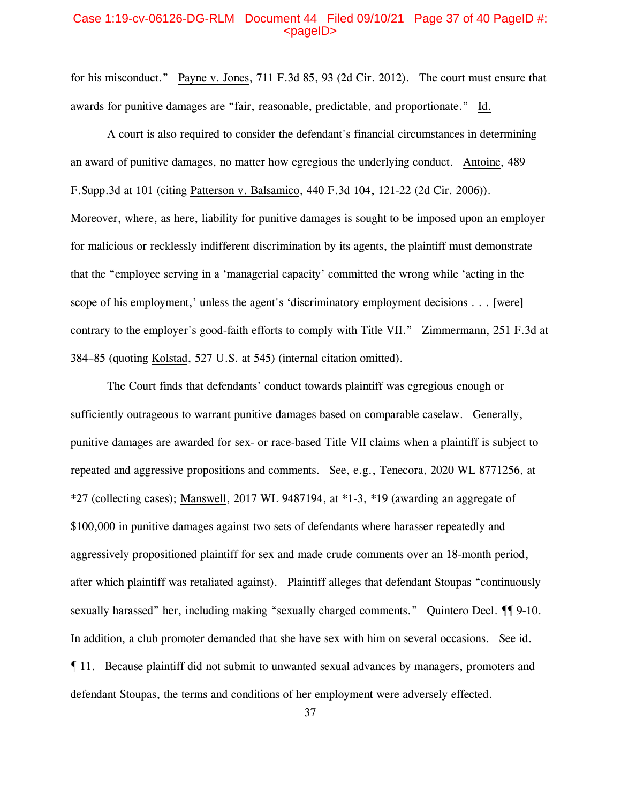# Case 1:19-cv-06126-DG-RLM Document 44 Filed 09/10/21 Page 37 of 40 PageID #: <pageID>

for his misconduct." Payne v. Jones, 711 F.3d 85, 93 (2d Cir. 2012). The court must ensure that awards for punitive damages are "fair, reasonable, predictable, and proportionate." Id.

A court is also required to consider the defendant's financial circumstances in determining an award of punitive damages, no matter how egregious the underlying conduct. Antoine, 489 F.Supp.3d at 101 (citing Patterson v. Balsamico, 440 F.3d 104, 121-22 (2d Cir. 2006)). Moreover, where, as here, liability for punitive damages is sought to be imposed upon an employer for malicious or recklessly indifferent discrimination by its agents, the plaintiff must demonstrate that the "employee serving in a 'managerial capacity' committed the wrong while 'acting in the scope of his employment,' unless the agent's 'discriminatory employment decisions . . . [were] contrary to the employer's good-faith efforts to comply with Title VII." Zimmermann, 251 F.3d at 384–85 (quoting Kolstad, 527 U.S. at 545) (internal citation omitted).

The Court finds that defendants' conduct towards plaintiff was egregious enough or sufficiently outrageous to warrant punitive damages based on comparable caselaw. Generally, punitive damages are awarded for sex- or race-based Title VII claims when a plaintiff is subject to repeated and aggressive propositions and comments. See, e.g., Tenecora, 2020 WL 8771256, at \*27 (collecting cases); Manswell, 2017 WL 9487194, at \*1-3, \*19 (awarding an aggregate of \$100,000 in punitive damages against two sets of defendants where harasser repeatedly and aggressively propositioned plaintiff for sex and made crude comments over an 18-month period, after which plaintiff was retaliated against). Plaintiff alleges that defendant Stoupas "continuously sexually harassed" her, including making "sexually charged comments." Quintero Decl.  $\P$  9-10. In addition, a club promoter demanded that she have sex with him on several occasions. See id. ¶ 11. Because plaintiff did not submit to unwanted sexual advances by managers, promoters and defendant Stoupas, the terms and conditions of her employment were adversely effected.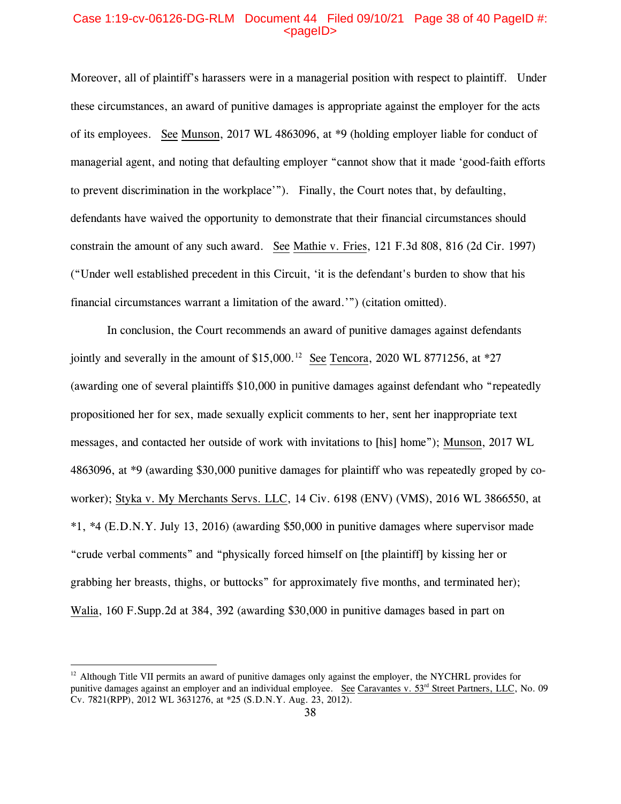# Case 1:19-cv-06126-DG-RLM Document 44 Filed 09/10/21 Page 38 of 40 PageID #:  $<sub>pa</sub>$  $<sub>o</sub>$ </sub></sub>

Moreover, all of plaintiff's harassers were in a managerial position with respect to plaintiff. Under these circumstances, an award of punitive damages is appropriate against the employer for the acts of its employees. See Munson, 2017 WL 4863096, at \*9 (holding employer liable for conduct of managerial agent, and noting that defaulting employer "cannot show that it made 'good-faith efforts to prevent discrimination in the workplace'"). Finally, the Court notes that, by defaulting, defendants have waived the opportunity to demonstrate that their financial circumstances should constrain the amount of any such award. See Mathie v. Fries, 121 F.3d 808, 816 (2d Cir. 1997) ("Under well established precedent in this Circuit, 'it is the defendant's burden to show that his financial circumstances warrant a limitation of the award.'") (citation omitted).

In conclusion, the Court recommends an award of punitive damages against defendants jointly and severally in the amount of \$15,000.<sup>[12](#page-37-0)</sup> See Tencora, 2020 WL 8771256, at  $*27$ (awarding one of several plaintiffs \$10,000 in punitive damages against defendant who "repeatedly propositioned her for sex, made sexually explicit comments to her, sent her inappropriate text messages, and contacted her outside of work with invitations to [his] home"); Munson, 2017 WL 4863096, at \*9 (awarding \$30,000 punitive damages for plaintiff who was repeatedly groped by coworker); Styka v. My Merchants Servs. LLC, 14 Civ. 6198 (ENV) (VMS), 2016 WL 3866550, at \*1, \*4 (E.D.N.Y. July 13, 2016) (awarding \$50,000 in punitive damages where supervisor made "crude verbal comments" and "physically forced himself on [the plaintiff] by kissing her or grabbing her breasts, thighs, or buttocks" for approximately five months, and terminated her); Walia, 160 F.Supp.2d at 384, 392 (awarding \$30,000 in punitive damages based in part on

<span id="page-37-0"></span><sup>&</sup>lt;sup>12</sup> Although Title VII permits an award of punitive damages only against the employer, the NYCHRL provides for punitive damages against an employer and an individual employee. See Caravantes v. 53<sup>rd</sup> Street Partners, LLC, No. 09 Cv. 7821(RPP), 2012 WL 3631276, at \*25 (S.D.N.Y. Aug. 23, 2012).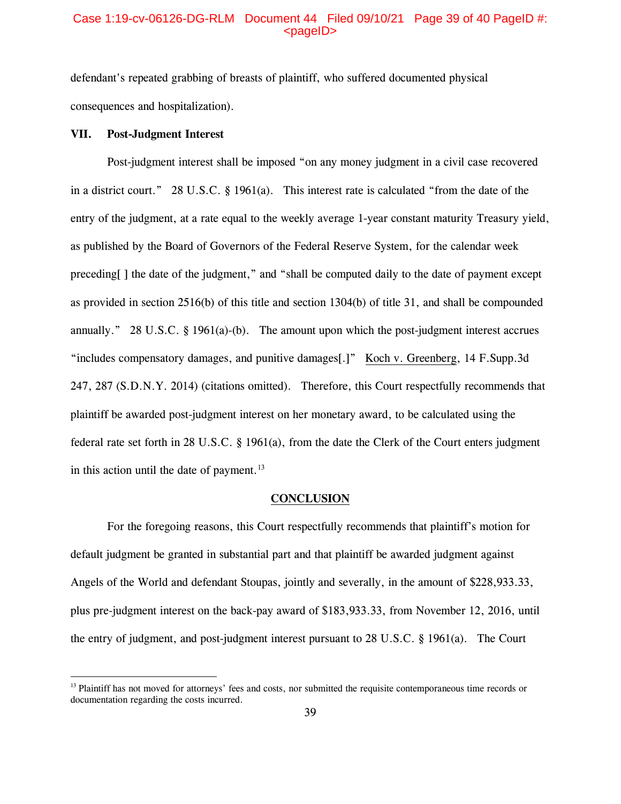### Case 1:19-cv-06126-DG-RLM Document 44 Filed 09/10/21 Page 39 of 40 PageID #:  $<sub>pa</sub>$ gelD $>$ </sub>

defendant's repeated grabbing of breasts of plaintiff, who suffered documented physical consequences and hospitalization).

### **VII. Post-Judgment Interest**

Post-judgment interest shall be imposed "on any money judgment in a civil case recovered in a district court." 28 U.S.C. § 1961(a). This interest rate is calculated "from the date of the entry of the judgment, at a rate equal to the weekly average 1-year constant maturity Treasury yield, as published by the Board of Governors of the Federal Reserve System, for the calendar week preceding[ ] the date of the judgment," and "shall be computed daily to the date of payment except as provided in section 2516(b) of this title and section 1304(b) of title 31, and shall be compounded annually." 28 U.S.C. § 1961(a)-(b). The amount upon which the post-judgment interest accrues "includes compensatory damages, and punitive damages[.]" Koch v. Greenberg, 14 F.Supp.3d 247, 287 (S.D.N.Y. 2014) (citations omitted). Therefore, this Court respectfully recommends that plaintiff be awarded post-judgment interest on her monetary award, to be calculated using the federal rate set forth in 28 U.S.C. § 1961(a), from the date the Clerk of the Court enters judgment in this action until the date of payment. $^{13}$  $^{13}$  $^{13}$ 

#### **CONCLUSION**

For the foregoing reasons, this Court respectfully recommends that plaintiff's motion for default judgment be granted in substantial part and that plaintiff be awarded judgment against Angels of the World and defendant Stoupas, jointly and severally, in the amount of \$228,933.33, plus pre-judgment interest on the back-pay award of \$183,933.33, from November 12, 2016, until the entry of judgment, and post-judgment interest pursuant to 28 U.S.C. § 1961(a). The Court

<span id="page-38-0"></span><sup>&</sup>lt;sup>13</sup> Plaintiff has not moved for attorneys' fees and costs, nor submitted the requisite contemporaneous time records or documentation regarding the costs incurred.